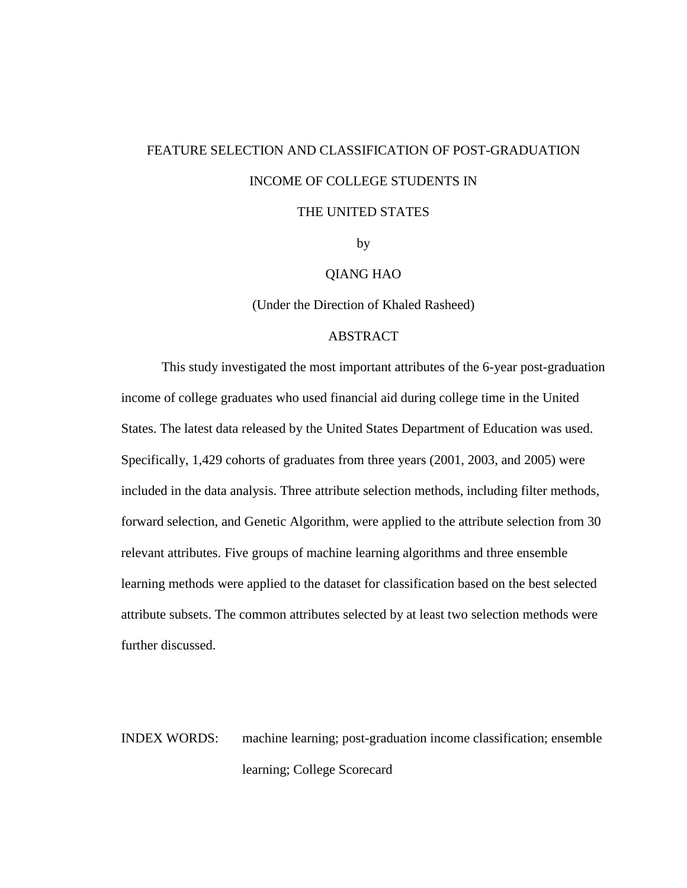# FEATURE SELECTION AND CLASSIFICATION OF POST-GRADUATION INCOME OF COLLEGE STUDENTS IN

### THE UNITED STATES

by

### QIANG HAO

(Under the Direction of Khaled Rasheed)

### ABSTRACT

This study investigated the most important attributes of the 6-year post-graduation income of college graduates who used financial aid during college time in the United States. The latest data released by the United States Department of Education was used. Specifically, 1,429 cohorts of graduates from three years (2001, 2003, and 2005) were included in the data analysis. Three attribute selection methods, including filter methods, forward selection, and Genetic Algorithm, were applied to the attribute selection from 30 relevant attributes. Five groups of machine learning algorithms and three ensemble learning methods were applied to the dataset for classification based on the best selected attribute subsets. The common attributes selected by at least two selection methods were further discussed.

INDEX WORDS: machine learning; post-graduation income classification; ensemble learning; College Scorecard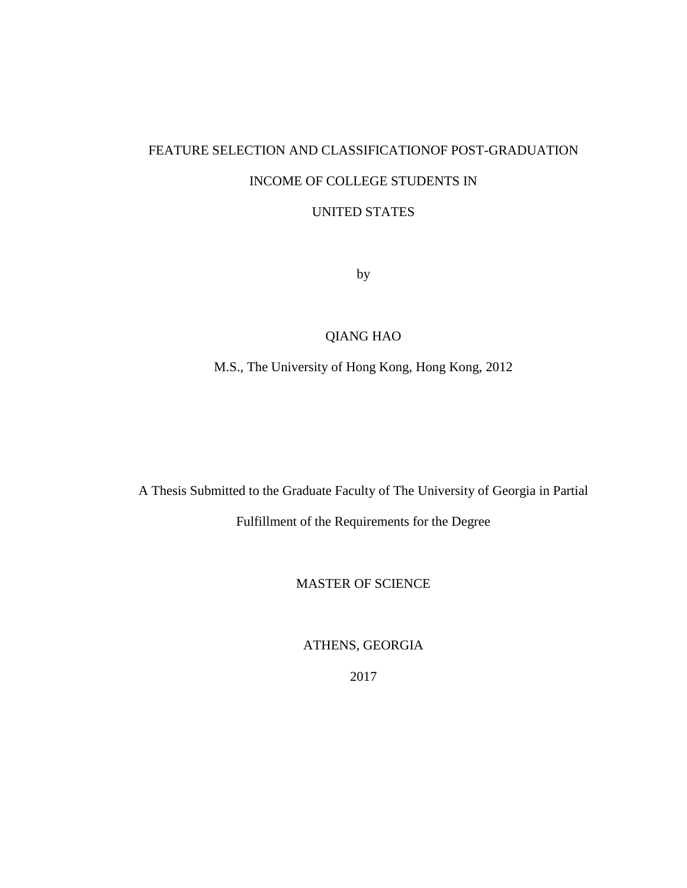# FEATURE SELECTION AND CLASSIFICATIONOF POST-GRADUATION INCOME OF COLLEGE STUDENTS IN

# UNITED STATES

by

# QIANG HAO

# M.S., The University of Hong Kong, Hong Kong, 2012

A Thesis Submitted to the Graduate Faculty of The University of Georgia in Partial

Fulfillment of the Requirements for the Degree

MASTER OF SCIENCE

ATHENS, GEORGIA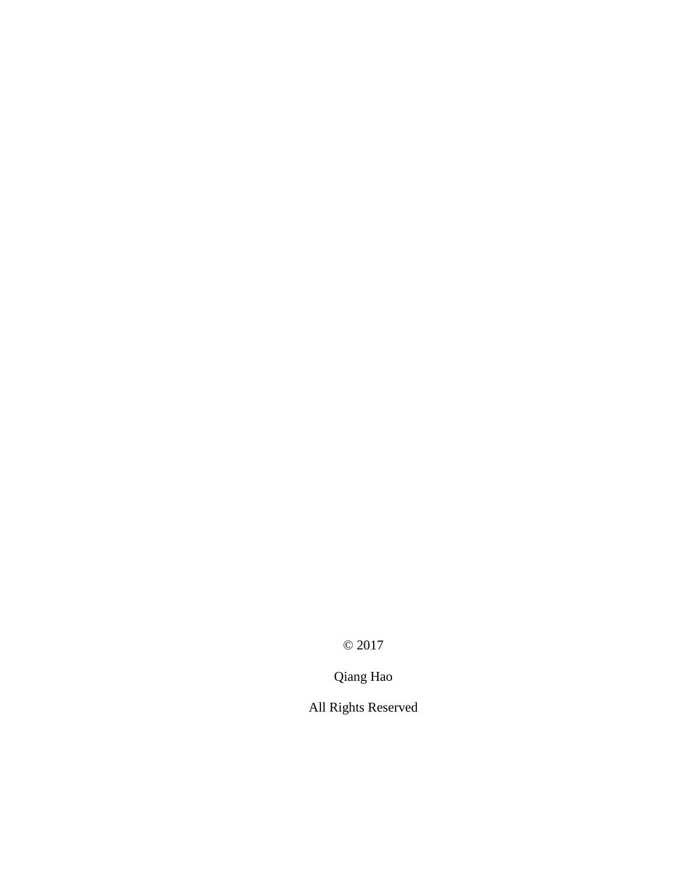© 2017

Qiang Hao

All Rights Reserved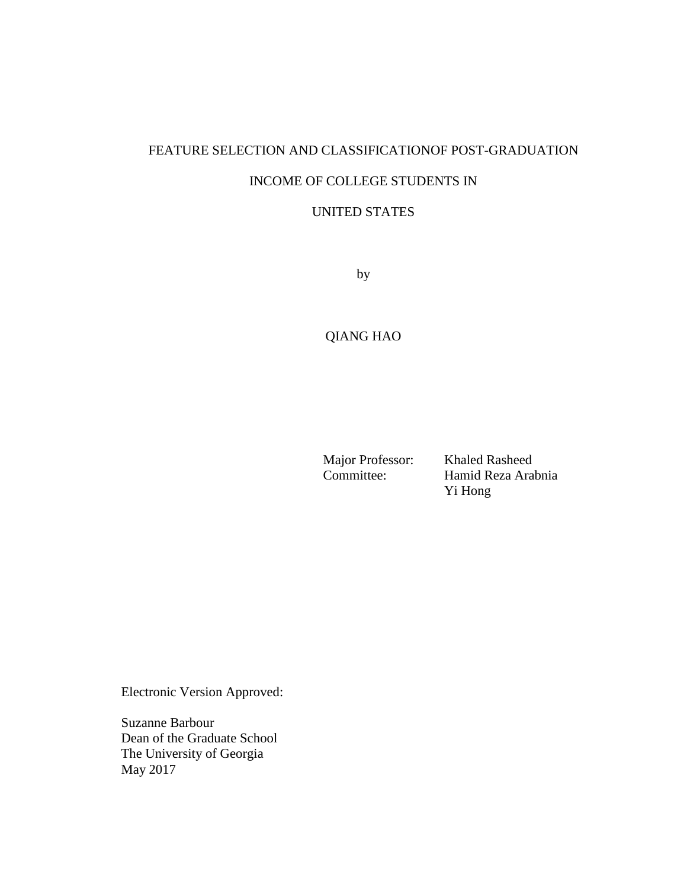# FEATURE SELECTION AND CLASSIFICATIONOF POST-GRADUATION INCOME OF COLLEGE STUDENTS IN

### UNITED STATES

by

# QIANG HAO

Major Professor: Khaled Rasheed<br>Committee: Hamid Reza Ara

Hamid Reza Arabnia Yi Hong

Electronic Version Approved:

Suzanne Barbour Dean of the Graduate School The University of Georgia May 2017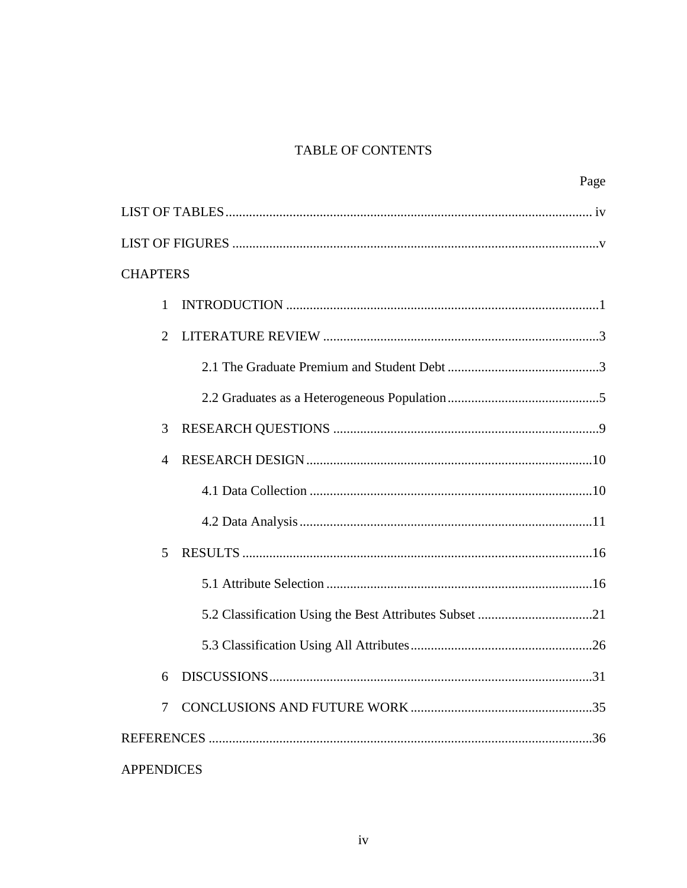# **TABLE OF CONTENTS**

| Page              |
|-------------------|
|                   |
|                   |
| <b>CHAPTERS</b>   |
| 1                 |
| 2                 |
|                   |
|                   |
| 3                 |
| 4                 |
|                   |
|                   |
| 5                 |
|                   |
|                   |
|                   |
| 31                |
| $\tau$            |
|                   |
| <b>APPENDICES</b> |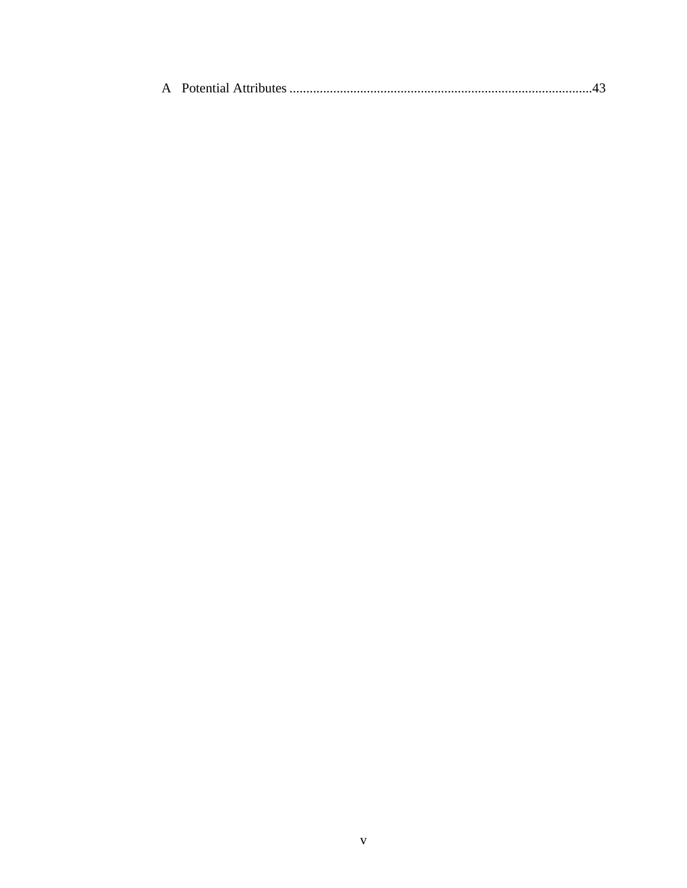|--|--|--|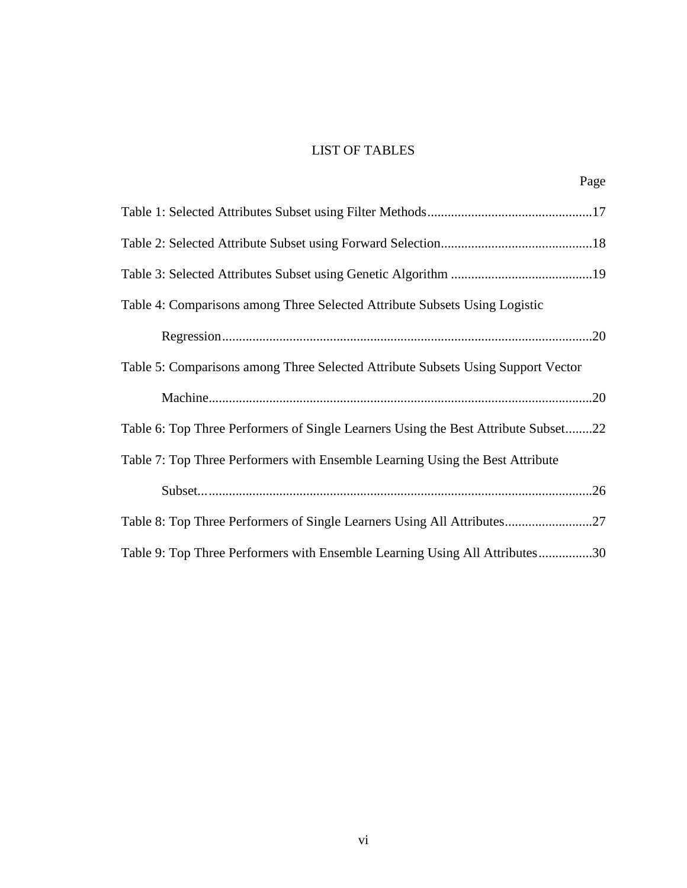# LIST OF TABLES

Page

| Table 4: Comparisons among Three Selected Attribute Subsets Using Logistic         |  |
|------------------------------------------------------------------------------------|--|
|                                                                                    |  |
| Table 5: Comparisons among Three Selected Attribute Subsets Using Support Vector   |  |
|                                                                                    |  |
| Table 6: Top Three Performers of Single Learners Using the Best Attribute Subset22 |  |
| Table 7: Top Three Performers with Ensemble Learning Using the Best Attribute      |  |
|                                                                                    |  |
|                                                                                    |  |
| Table 9: Top Three Performers with Ensemble Learning Using All Attributes30        |  |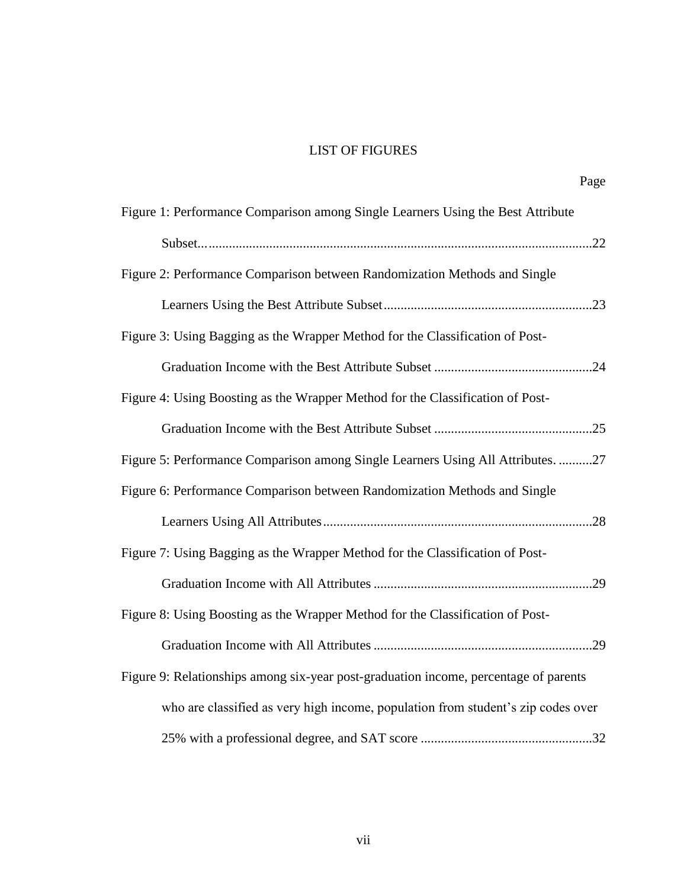# LIST OF FIGURES

|                                                                                      | Page |
|--------------------------------------------------------------------------------------|------|
| Figure 1: Performance Comparison among Single Learners Using the Best Attribute      |      |
|                                                                                      |      |
| Figure 2: Performance Comparison between Randomization Methods and Single            |      |
|                                                                                      |      |
| Figure 3: Using Bagging as the Wrapper Method for the Classification of Post-        |      |
|                                                                                      |      |
| Figure 4: Using Boosting as the Wrapper Method for the Classification of Post-       |      |
|                                                                                      |      |
| Figure 5: Performance Comparison among Single Learners Using All Attributes. 27      |      |
| Figure 6: Performance Comparison between Randomization Methods and Single            |      |
|                                                                                      |      |
| Figure 7: Using Bagging as the Wrapper Method for the Classification of Post-        |      |
|                                                                                      |      |
| Figure 8: Using Boosting as the Wrapper Method for the Classification of Post-       |      |
|                                                                                      |      |
| Figure 9: Relationships among six-year post-graduation income, percentage of parents |      |
| who are classified as very high income, population from student's zip codes over     |      |
|                                                                                      |      |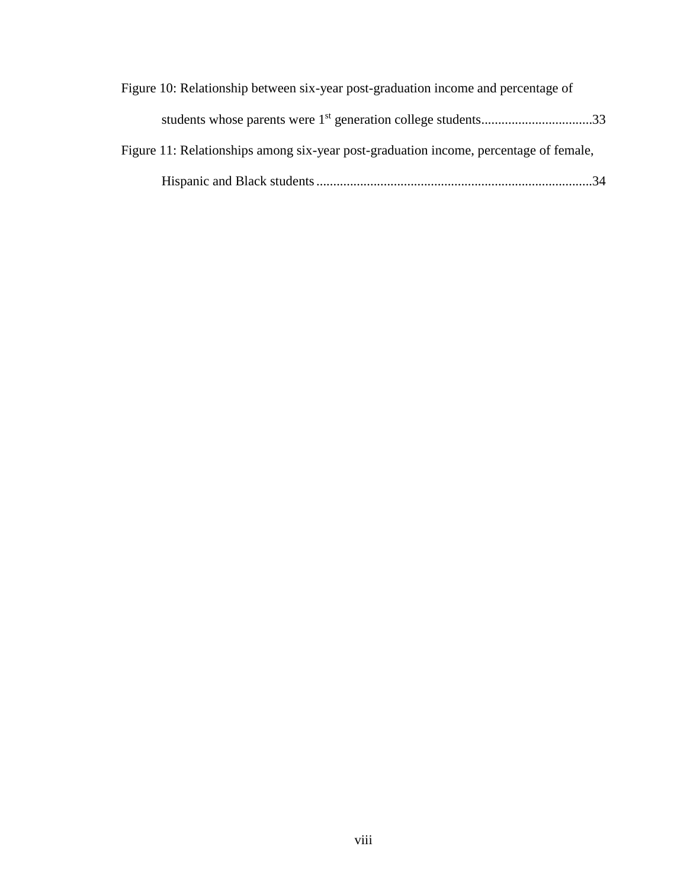| Figure 10: Relationship between six-year post-graduation income and percentage of     |  |
|---------------------------------------------------------------------------------------|--|
| students whose parents were 1 <sup>st</sup> generation college students33             |  |
| Figure 11: Relationships among six-year post-graduation income, percentage of female, |  |
| $-34$                                                                                 |  |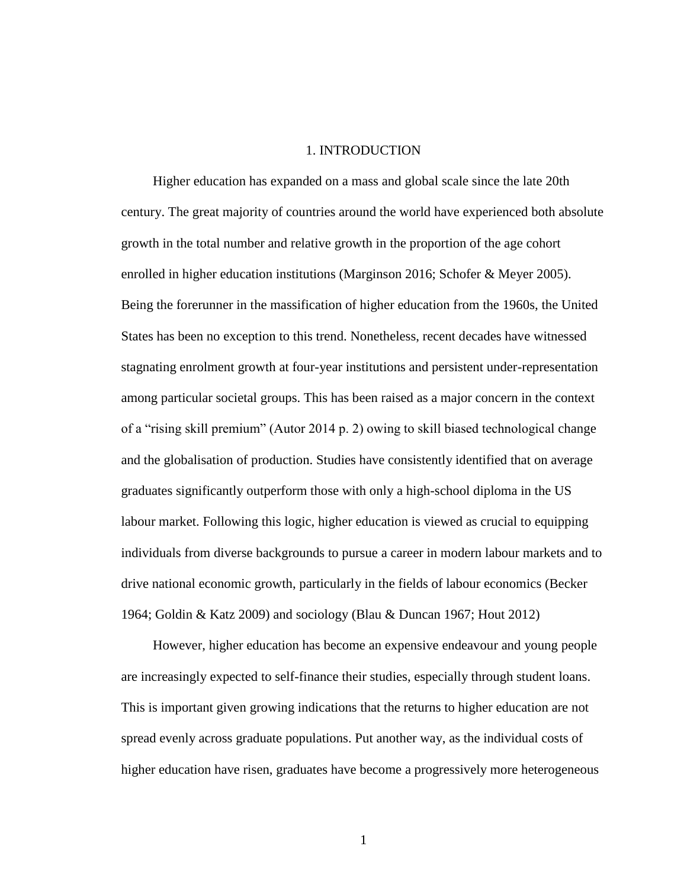### 1. INTRODUCTION

Higher education has expanded on a mass and global scale since the late 20th century. The great majority of countries around the world have experienced both absolute growth in the total number and relative growth in the proportion of the age cohort enrolled in higher education institutions (Marginson 2016; Schofer & Meyer 2005). Being the forerunner in the massification of higher education from the 1960s, the United States has been no exception to this trend. Nonetheless, recent decades have witnessed stagnating enrolment growth at four-year institutions and persistent under-representation among particular societal groups. This has been raised as a major concern in the context of a "rising skill premium" (Autor 2014 p. 2) owing to skill biased technological change and the globalisation of production. Studies have consistently identified that on average graduates significantly outperform those with only a high-school diploma in the US labour market. Following this logic, higher education is viewed as crucial to equipping individuals from diverse backgrounds to pursue a career in modern labour markets and to drive national economic growth, particularly in the fields of labour economics (Becker 1964; Goldin & Katz 2009) and sociology (Blau & Duncan 1967; Hout 2012)

However, higher education has become an expensive endeavour and young people are increasingly expected to self-finance their studies, especially through student loans. This is important given growing indications that the returns to higher education are not spread evenly across graduate populations. Put another way, as the individual costs of higher education have risen, graduates have become a progressively more heterogeneous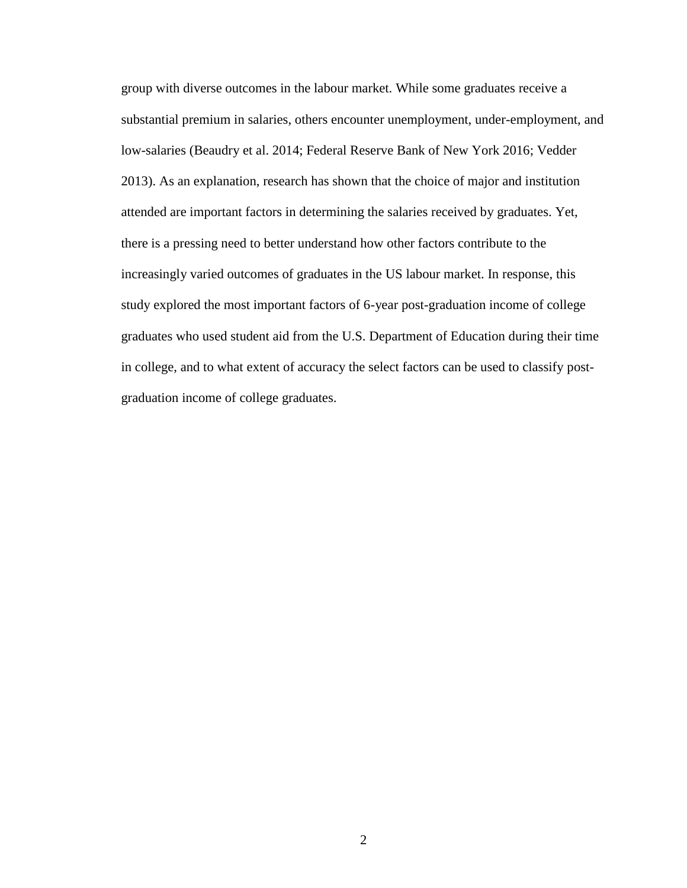group with diverse outcomes in the labour market. While some graduates receive a substantial premium in salaries, others encounter unemployment, under-employment, and low-salaries (Beaudry et al. 2014; Federal Reserve Bank of New York 2016; Vedder 2013). As an explanation, research has shown that the choice of major and institution attended are important factors in determining the salaries received by graduates. Yet, there is a pressing need to better understand how other factors contribute to the increasingly varied outcomes of graduates in the US labour market. In response, this study explored the most important factors of 6-year post-graduation income of college graduates who used student aid from the U.S. Department of Education during their time in college, and to what extent of accuracy the select factors can be used to classify postgraduation income of college graduates.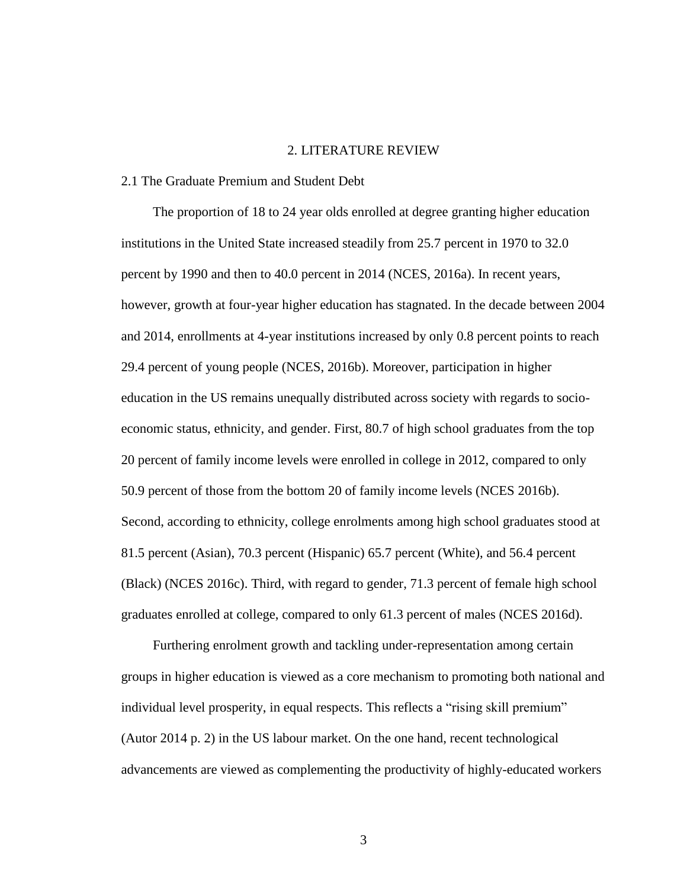### 2. LITERATURE REVIEW

### 2.1 The Graduate Premium and Student Debt

The proportion of 18 to 24 year olds enrolled at degree granting higher education institutions in the United State increased steadily from 25.7 percent in 1970 to 32.0 percent by 1990 and then to 40.0 percent in 2014 (NCES, 2016a). In recent years, however, growth at four-year higher education has stagnated. In the decade between 2004 and 2014, enrollments at 4-year institutions increased by only 0.8 percent points to reach 29.4 percent of young people (NCES, 2016b). Moreover, participation in higher education in the US remains unequally distributed across society with regards to socioeconomic status, ethnicity, and gender. First, 80.7 of high school graduates from the top 20 percent of family income levels were enrolled in college in 2012, compared to only 50.9 percent of those from the bottom 20 of family income levels (NCES 2016b). Second, according to ethnicity, college enrolments among high school graduates stood at 81.5 percent (Asian), 70.3 percent (Hispanic) 65.7 percent (White), and 56.4 percent (Black) (NCES 2016c). Third, with regard to gender, 71.3 percent of female high school graduates enrolled at college, compared to only 61.3 percent of males (NCES 2016d).

Furthering enrolment growth and tackling under-representation among certain groups in higher education is viewed as a core mechanism to promoting both national and individual level prosperity, in equal respects. This reflects a "rising skill premium" (Autor 2014 p. 2) in the US labour market. On the one hand, recent technological advancements are viewed as complementing the productivity of highly-educated workers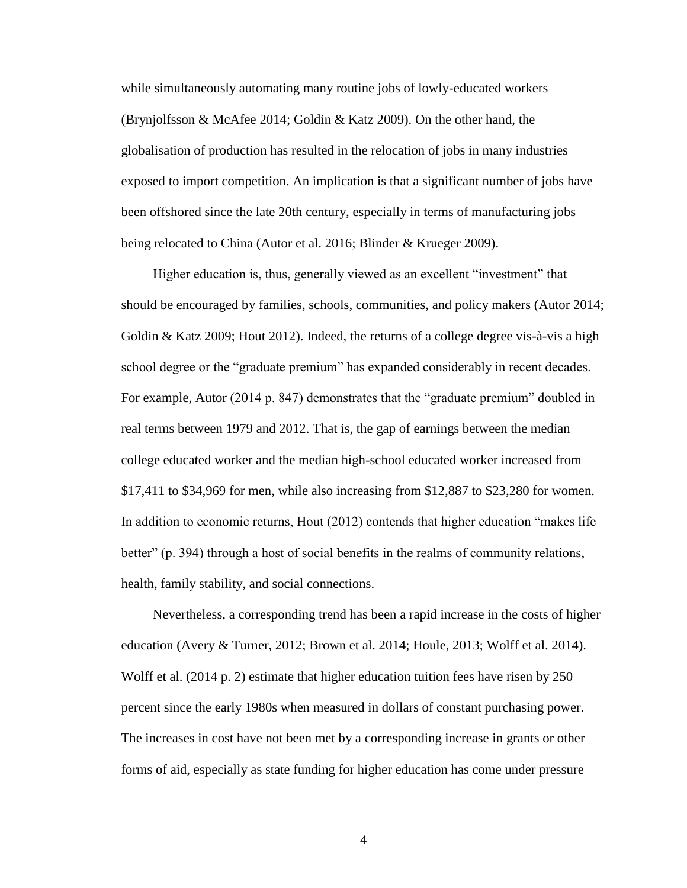while simultaneously automating many routine jobs of lowly-educated workers (Brynjolfsson & McAfee 2014; Goldin & Katz 2009). On the other hand, the globalisation of production has resulted in the relocation of jobs in many industries exposed to import competition. An implication is that a significant number of jobs have been offshored since the late 20th century, especially in terms of manufacturing jobs being relocated to China (Autor et al. 2016; Blinder & Krueger 2009).

Higher education is, thus, generally viewed as an excellent "investment" that should be encouraged by families, schools, communities, and policy makers (Autor 2014; Goldin & Katz 2009; Hout 2012). Indeed, the returns of a college degree vis-à-vis a high school degree or the "graduate premium" has expanded considerably in recent decades. For example, Autor (2014 p. 847) demonstrates that the "graduate premium" doubled in real terms between 1979 and 2012. That is, the gap of earnings between the median college educated worker and the median high-school educated worker increased from \$17,411 to \$34,969 for men, while also increasing from \$12,887 to \$23,280 for women. In addition to economic returns, Hout (2012) contends that higher education "makes life better" (p. 394) through a host of social benefits in the realms of community relations, health, family stability, and social connections.

Nevertheless, a corresponding trend has been a rapid increase in the costs of higher education (Avery & Turner, 2012; Brown et al. 2014; Houle, 2013; Wolff et al. 2014). Wolff et al. (2014 p. 2) estimate that higher education tuition fees have risen by 250 percent since the early 1980s when measured in dollars of constant purchasing power. The increases in cost have not been met by a corresponding increase in grants or other forms of aid, especially as state funding for higher education has come under pressure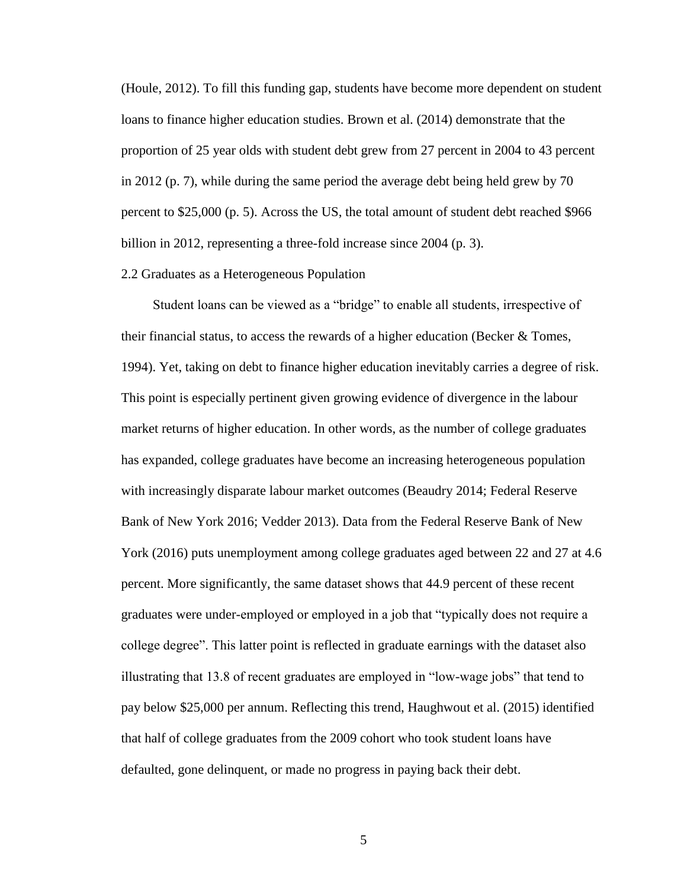(Houle, 2012). To fill this funding gap, students have become more dependent on student loans to finance higher education studies. Brown et al. (2014) demonstrate that the proportion of 25 year olds with student debt grew from 27 percent in 2004 to 43 percent in 2012 (p. 7), while during the same period the average debt being held grew by 70 percent to \$25,000 (p. 5). Across the US, the total amount of student debt reached \$966 billion in 2012, representing a three-fold increase since 2004 (p. 3).

#### 2.2 Graduates as a Heterogeneous Population

Student loans can be viewed as a "bridge" to enable all students, irrespective of their financial status, to access the rewards of a higher education (Becker  $\&$  Tomes, 1994). Yet, taking on debt to finance higher education inevitably carries a degree of risk. This point is especially pertinent given growing evidence of divergence in the labour market returns of higher education. In other words, as the number of college graduates has expanded, college graduates have become an increasing heterogeneous population with increasingly disparate labour market outcomes (Beaudry 2014; Federal Reserve Bank of New York 2016; Vedder 2013). Data from the Federal Reserve Bank of New York (2016) puts unemployment among college graduates aged between 22 and 27 at 4.6 percent. More significantly, the same dataset shows that 44.9 percent of these recent graduates were under-employed or employed in a job that "typically does not require a college degree". This latter point is reflected in graduate earnings with the dataset also illustrating that 13.8 of recent graduates are employed in "low-wage jobs" that tend to pay below \$25,000 per annum. Reflecting this trend, Haughwout et al. (2015) identified that half of college graduates from the 2009 cohort who took student loans have defaulted, gone delinquent, or made no progress in paying back their debt.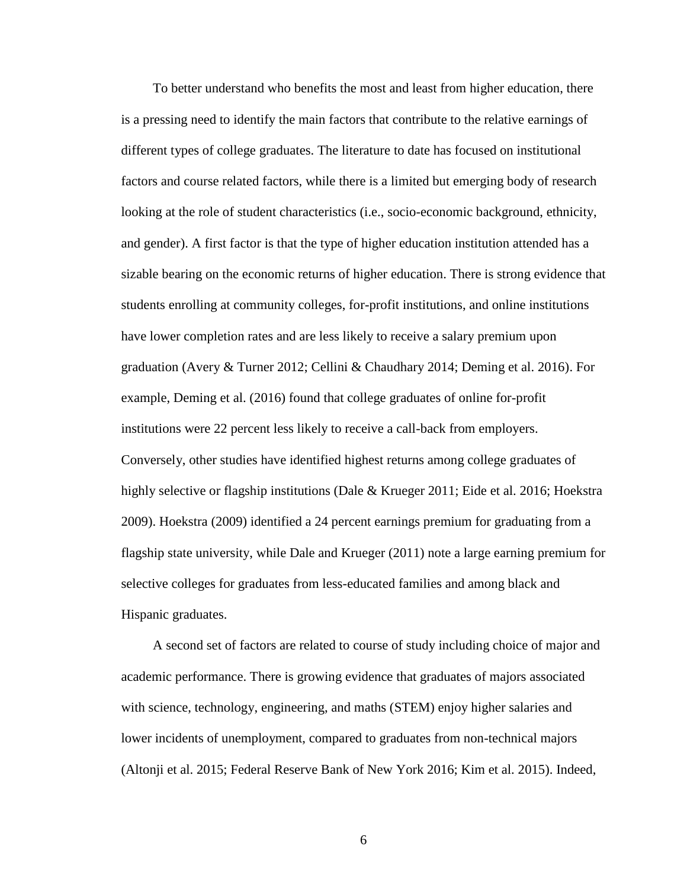To better understand who benefits the most and least from higher education, there is a pressing need to identify the main factors that contribute to the relative earnings of different types of college graduates. The literature to date has focused on institutional factors and course related factors, while there is a limited but emerging body of research looking at the role of student characteristics (i.e., socio-economic background, ethnicity, and gender). A first factor is that the type of higher education institution attended has a sizable bearing on the economic returns of higher education. There is strong evidence that students enrolling at community colleges, for-profit institutions, and online institutions have lower completion rates and are less likely to receive a salary premium upon graduation (Avery & Turner 2012; Cellini & Chaudhary 2014; Deming et al. 2016). For example, Deming et al. (2016) found that college graduates of online for-profit institutions were 22 percent less likely to receive a call-back from employers. Conversely, other studies have identified highest returns among college graduates of highly selective or flagship institutions (Dale & Krueger 2011; Eide et al. 2016; Hoekstra 2009). Hoekstra (2009) identified a 24 percent earnings premium for graduating from a flagship state university, while Dale and Krueger (2011) note a large earning premium for selective colleges for graduates from less-educated families and among black and Hispanic graduates.

A second set of factors are related to course of study including choice of major and academic performance. There is growing evidence that graduates of majors associated with science, technology, engineering, and maths (STEM) enjoy higher salaries and lower incidents of unemployment, compared to graduates from non-technical majors (Altonji et al. 2015; Federal Reserve Bank of New York 2016; Kim et al. 2015). Indeed,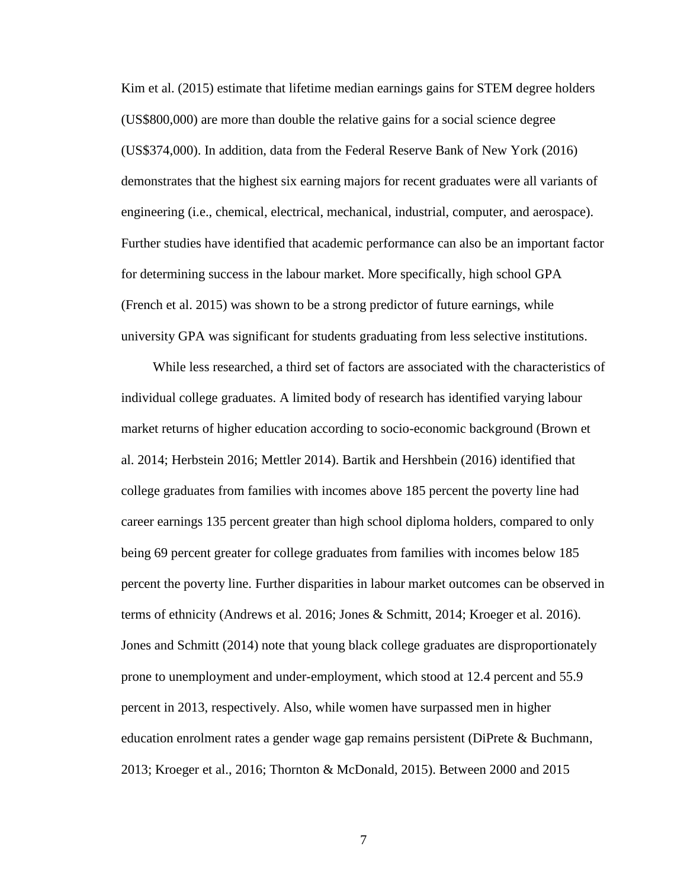Kim et al. (2015) estimate that lifetime median earnings gains for STEM degree holders (US\$800,000) are more than double the relative gains for a social science degree (US\$374,000). In addition, data from the Federal Reserve Bank of New York (2016) demonstrates that the highest six earning majors for recent graduates were all variants of engineering (i.e., chemical, electrical, mechanical, industrial, computer, and aerospace). Further studies have identified that academic performance can also be an important factor for determining success in the labour market. More specifically, high school GPA (French et al. 2015) was shown to be a strong predictor of future earnings, while university GPA was significant for students graduating from less selective institutions.

While less researched, a third set of factors are associated with the characteristics of individual college graduates. A limited body of research has identified varying labour market returns of higher education according to socio-economic background (Brown et al. 2014; Herbstein 2016; Mettler 2014). Bartik and Hershbein (2016) identified that college graduates from families with incomes above 185 percent the poverty line had career earnings 135 percent greater than high school diploma holders, compared to only being 69 percent greater for college graduates from families with incomes below 185 percent the poverty line. Further disparities in labour market outcomes can be observed in terms of ethnicity (Andrews et al. 2016; Jones & Schmitt, 2014; Kroeger et al. 2016). Jones and Schmitt (2014) note that young black college graduates are disproportionately prone to unemployment and under-employment, which stood at 12.4 percent and 55.9 percent in 2013, respectively. Also, while women have surpassed men in higher education enrolment rates a gender wage gap remains persistent (DiPrete & Buchmann, 2013; Kroeger et al., 2016; Thornton & McDonald, 2015). Between 2000 and 2015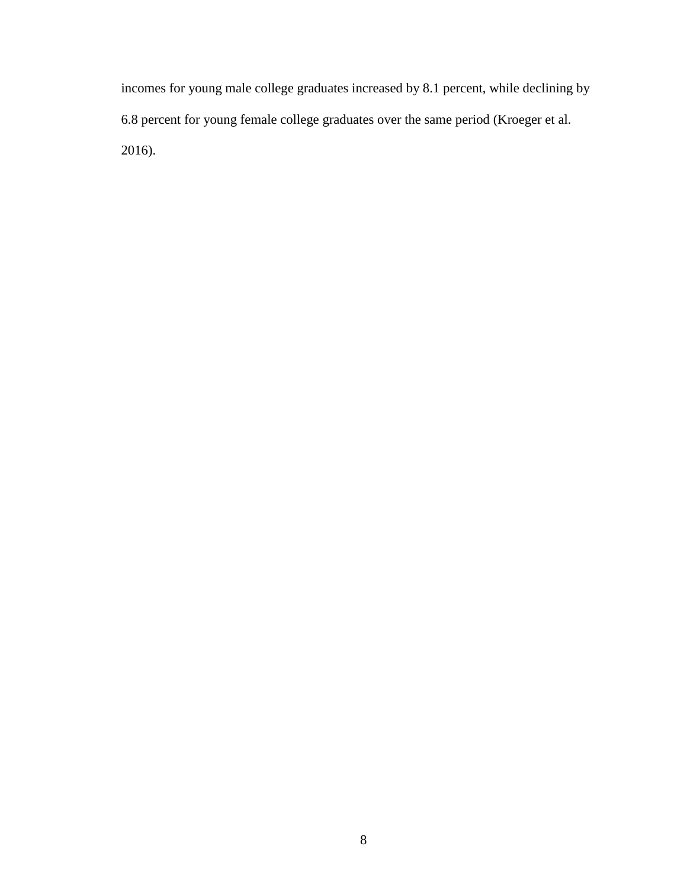incomes for young male college graduates increased by 8.1 percent, while declining by 6.8 percent for young female college graduates over the same period (Kroeger et al. 2016).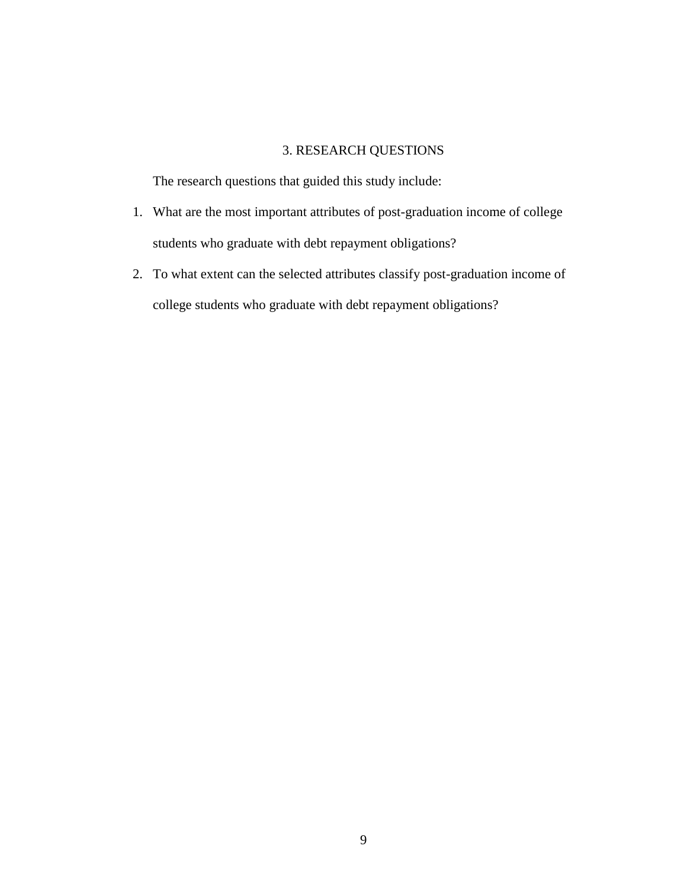## 3. RESEARCH QUESTIONS

The research questions that guided this study include:

- 1. What are the most important attributes of post-graduation income of college students who graduate with debt repayment obligations?
- 2. To what extent can the selected attributes classify post-graduation income of college students who graduate with debt repayment obligations?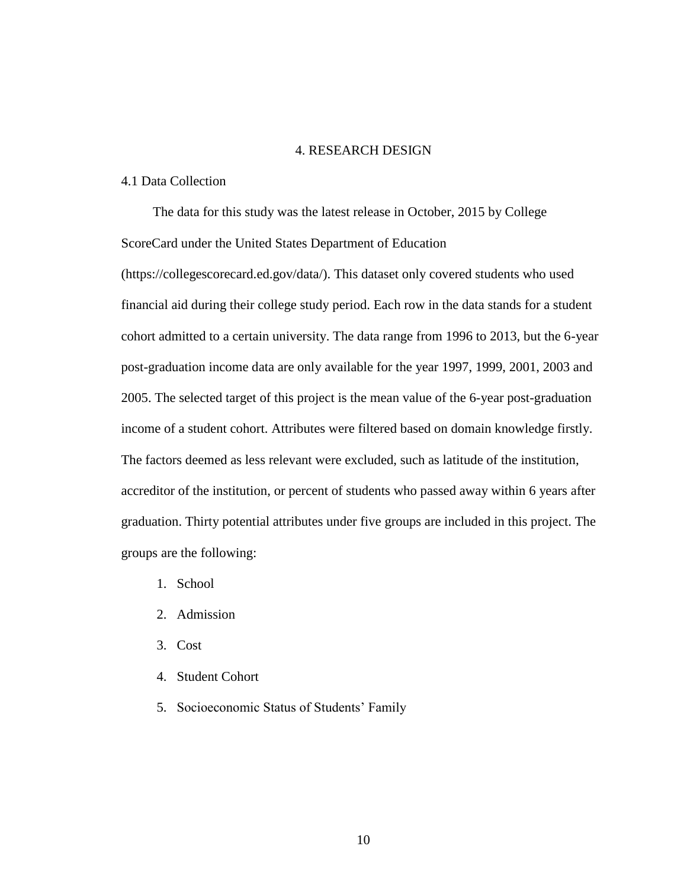### 4. RESEARCH DESIGN

### 4.1 Data Collection

The data for this study was the latest release in October, 2015 by College ScoreCard under the United States Department of Education

(https://collegescorecard.ed.gov/data/). This dataset only covered students who used financial aid during their college study period. Each row in the data stands for a student cohort admitted to a certain university. The data range from 1996 to 2013, but the 6-year post-graduation income data are only available for the year 1997, 1999, 2001, 2003 and 2005. The selected target of this project is the mean value of the 6-year post-graduation income of a student cohort. Attributes were filtered based on domain knowledge firstly. The factors deemed as less relevant were excluded, such as latitude of the institution, accreditor of the institution, or percent of students who passed away within 6 years after graduation. Thirty potential attributes under five groups are included in this project. The groups are the following:

- 1. School
- 2. Admission
- 3. Cost
- 4. Student Cohort
- 5. Socioeconomic Status of Students' Family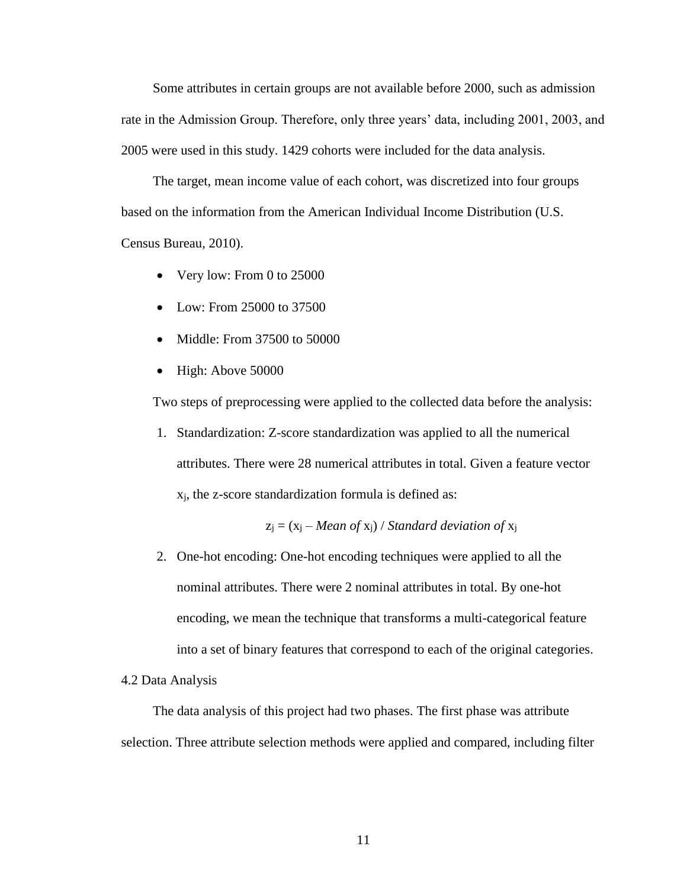Some attributes in certain groups are not available before 2000, such as admission rate in the Admission Group. Therefore, only three years' data, including 2001, 2003, and 2005 were used in this study. 1429 cohorts were included for the data analysis.

The target, mean income value of each cohort, was discretized into four groups based on the information from the American Individual Income Distribution (U.S. Census Bureau, 2010).

- Very low: From 0 to 25000
- Low: From 25000 to 37500
- Middle: From 37500 to 50000
- High: Above 50000

Two steps of preprocessing were applied to the collected data before the analysis:

1. Standardization: Z-score standardization was applied to all the numerical attributes. There were 28 numerical attributes in total. Given a feature vector xj, the z-score standardization formula is defined as:

$$
z_j = (x_j - Mean \ of \ x_j) / Standard \ deviation \ of \ x_j
$$

2. One-hot encoding: One-hot encoding techniques were applied to all the nominal attributes. There were 2 nominal attributes in total. By one-hot encoding, we mean the technique that transforms a multi-categorical feature into a set of binary features that correspond to each of the original categories.

### 4.2 Data Analysis

The data analysis of this project had two phases. The first phase was attribute selection. Three attribute selection methods were applied and compared, including filter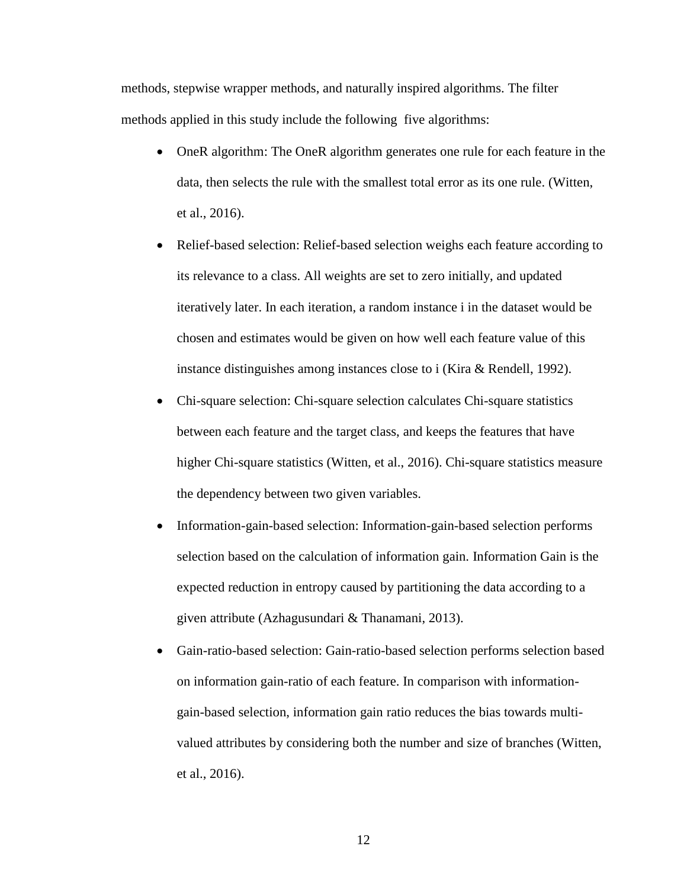methods, stepwise wrapper methods, and naturally inspired algorithms. The filter methods applied in this study include the following five algorithms:

- OneR algorithm: The OneR algorithm generates one rule for each feature in the data, then selects the rule with the smallest total error as its one rule. (Witten, et al., 2016).
- Relief-based selection: Relief-based selection weighs each feature according to its relevance to a class. All weights are set to zero initially, and updated iteratively later. In each iteration, a random instance i in the dataset would be chosen and estimates would be given on how well each feature value of this instance distinguishes among instances close to i (Kira & Rendell, 1992).
- Chi-square selection: Chi-square selection calculates Chi-square statistics between each feature and the target class, and keeps the features that have higher Chi-square statistics (Witten, et al., 2016). Chi-square statistics measure the dependency between two given variables.
- Information-gain-based selection: Information-gain-based selection performs selection based on the calculation of information gain. Information Gain is the expected reduction in entropy caused by partitioning the data according to a given attribute (Azhagusundari & Thanamani, 2013).
- Gain-ratio-based selection: Gain-ratio-based selection performs selection based on information gain-ratio of each feature. In comparison with informationgain-based selection, information gain ratio reduces the bias towards multivalued attributes by considering both the number and size of branches (Witten, et al., 2016).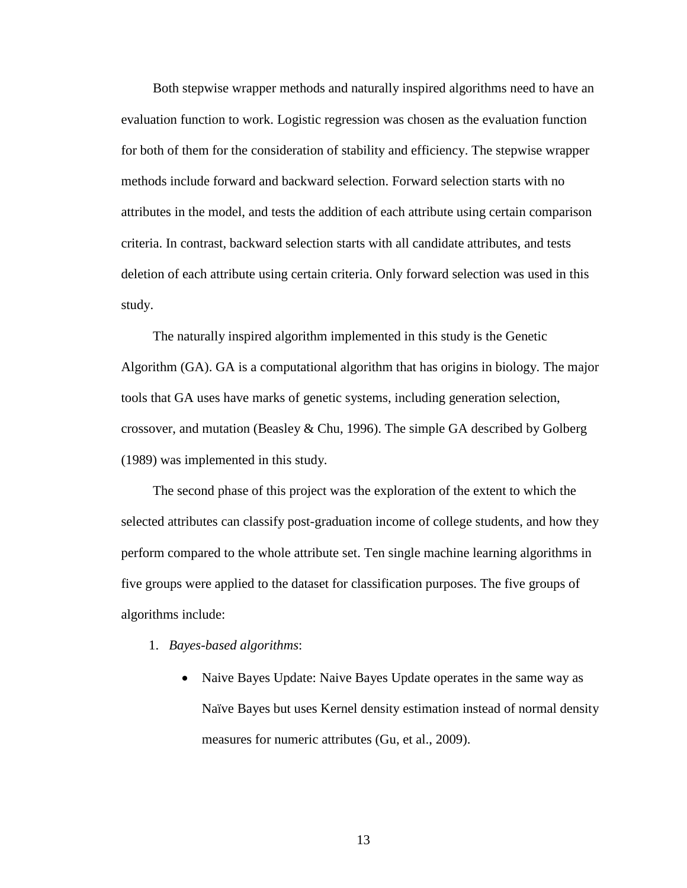Both stepwise wrapper methods and naturally inspired algorithms need to have an evaluation function to work. Logistic regression was chosen as the evaluation function for both of them for the consideration of stability and efficiency. The stepwise wrapper methods include forward and backward selection. Forward selection starts with no attributes in the model, and tests the addition of each attribute using certain comparison criteria. In contrast, backward selection starts with all candidate attributes, and tests deletion of each attribute using certain criteria. Only forward selection was used in this study.

The naturally inspired algorithm implemented in this study is the Genetic Algorithm (GA). GA is a computational algorithm that has origins in biology. The major tools that GA uses have marks of genetic systems, including generation selection, crossover, and mutation (Beasley & Chu, 1996). The simple GA described by Golberg (1989) was implemented in this study.

The second phase of this project was the exploration of the extent to which the selected attributes can classify post-graduation income of college students, and how they perform compared to the whole attribute set. Ten single machine learning algorithms in five groups were applied to the dataset for classification purposes. The five groups of algorithms include:

- 1. *Bayes-based algorithms*:
	- Naive Bayes Update: Naive Bayes Update operates in the same way as Naïve Bayes but uses Kernel density estimation instead of normal density measures for numeric attributes (Gu, et al., 2009).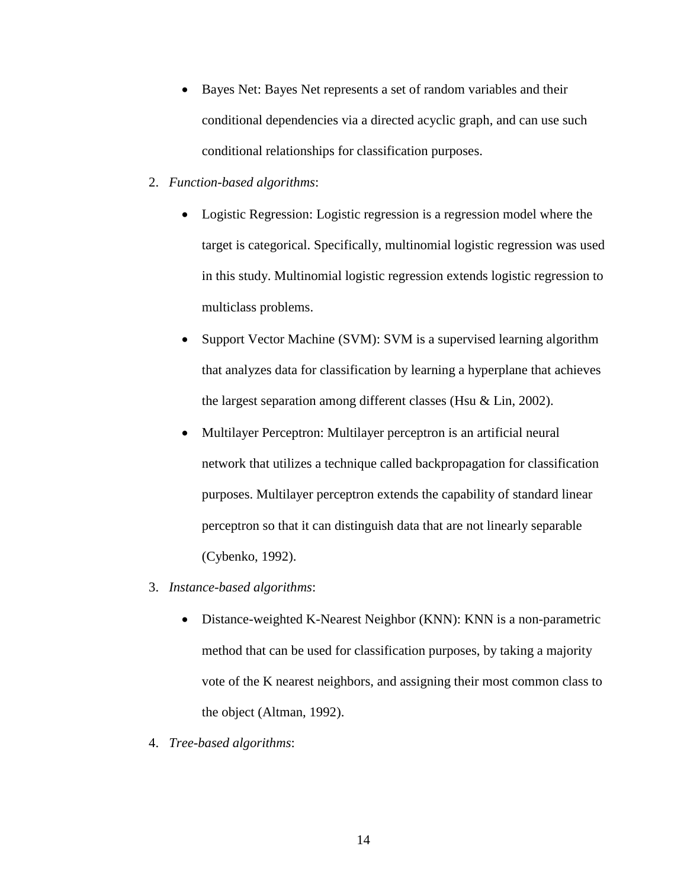- Bayes Net: Bayes Net represents a set of random variables and their conditional dependencies via a directed acyclic graph, and can use such conditional relationships for classification purposes.
- 2. *Function-based algorithms*:
	- Logistic Regression: Logistic regression is a regression model where the target is categorical. Specifically, multinomial logistic regression was used in this study. Multinomial logistic regression extends logistic regression to multiclass problems.
	- Support Vector Machine (SVM): SVM is a supervised learning algorithm that analyzes data for classification by learning a hyperplane that achieves the largest separation among different classes (Hsu & Lin, 2002).
	- Multilayer Perceptron: Multilayer perceptron is an artificial neural network that utilizes a technique called backpropagation for classification purposes. Multilayer perceptron extends the capability of standard linear perceptron so that it can distinguish data that are not linearly separable (Cybenko, 1992).
- 3. *Instance-based algorithms*:
	- Distance-weighted K-Nearest Neighbor (KNN): KNN is a non-parametric method that can be used for classification purposes, by taking a majority vote of the K nearest neighbors, and assigning their most common class to the object (Altman, 1992).
- 4. *Tree-based algorithms*: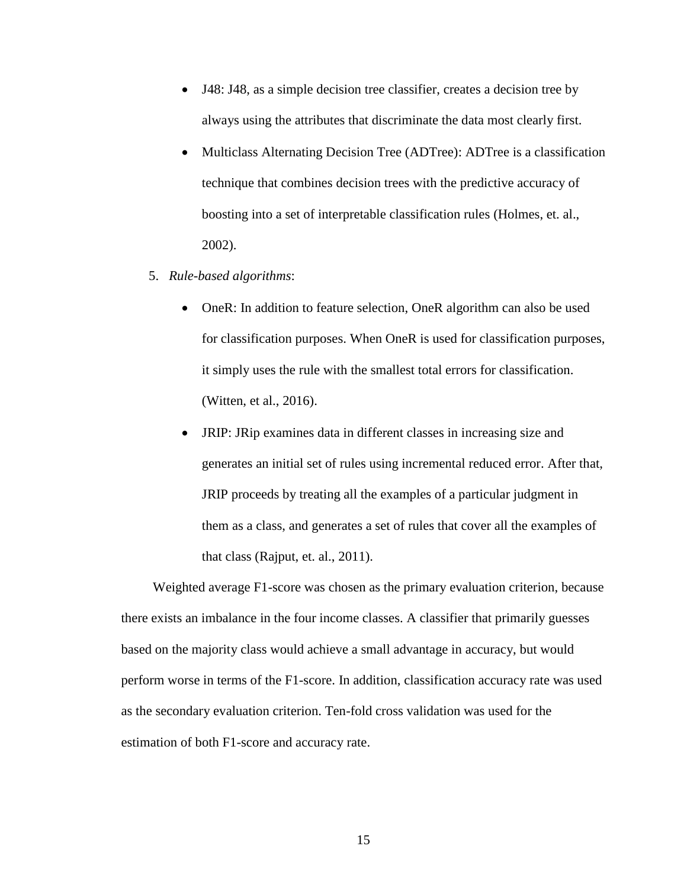- J48: J48, as a simple decision tree classifier, creates a decision tree by always using the attributes that discriminate the data most clearly first.
- Multiclass Alternating Decision Tree (ADTree): ADTree is a classification technique that combines decision trees with the predictive accuracy of boosting into a set of interpretable classification rules (Holmes, et. al., 2002).
- 5. *Rule-based algorithms*:
	- OneR: In addition to feature selection, OneR algorithm can also be used for classification purposes. When OneR is used for classification purposes, it simply uses the rule with the smallest total errors for classification. (Witten, et al., 2016).
	- JRIP: JRip examines data in different classes in increasing size and generates an initial set of rules using incremental reduced error. After that, JRIP proceeds by treating all the examples of a particular judgment in them as a class, and generates a set of rules that cover all the examples of that class (Rajput, et. al., 2011).

Weighted average F1-score was chosen as the primary evaluation criterion, because there exists an imbalance in the four income classes. A classifier that primarily guesses based on the majority class would achieve a small advantage in accuracy, but would perform worse in terms of the F1-score. In addition, classification accuracy rate was used as the secondary evaluation criterion. Ten-fold cross validation was used for the estimation of both F1-score and accuracy rate.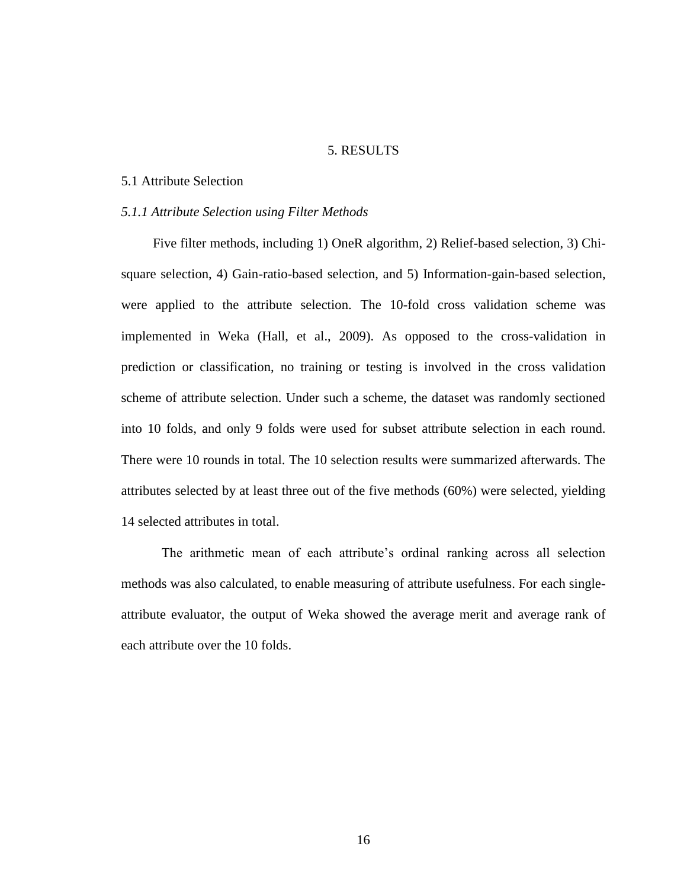### 5. RESULTS

### 5.1 Attribute Selection

### *5.1.1 Attribute Selection using Filter Methods*

Five filter methods, including 1) OneR algorithm, 2) Relief-based selection, 3) Chisquare selection, 4) Gain-ratio-based selection, and 5) Information-gain-based selection, were applied to the attribute selection. The 10-fold cross validation scheme was implemented in Weka (Hall, et al., 2009). As opposed to the cross-validation in prediction or classification, no training or testing is involved in the cross validation scheme of attribute selection. Under such a scheme, the dataset was randomly sectioned into 10 folds, and only 9 folds were used for subset attribute selection in each round. There were 10 rounds in total. The 10 selection results were summarized afterwards. The attributes selected by at least three out of the five methods (60%) were selected, yielding 14 selected attributes in total.

The arithmetic mean of each attribute's ordinal ranking across all selection methods was also calculated, to enable measuring of attribute usefulness. For each singleattribute evaluator, the output of Weka showed the average merit and average rank of each attribute over the 10 folds.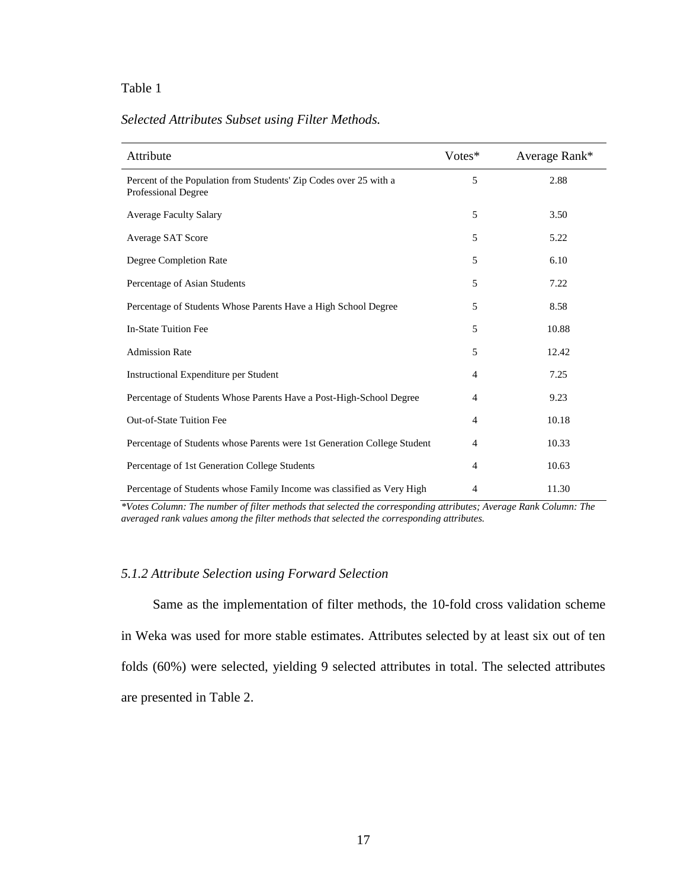### Table 1

| Attribute                                                                                       | Votes*         | Average Rank* |
|-------------------------------------------------------------------------------------------------|----------------|---------------|
| Percent of the Population from Students' Zip Codes over 25 with a<br><b>Professional Degree</b> | 5              | 2.88          |
| <b>Average Faculty Salary</b>                                                                   | 5              | 3.50          |
| Average SAT Score                                                                               | 5              | 5.22          |
| Degree Completion Rate                                                                          | 5              | 6.10          |
| Percentage of Asian Students                                                                    | 5              | 7.22          |
| Percentage of Students Whose Parents Have a High School Degree                                  | 5              | 8.58          |
| <b>In-State Tuition Fee</b>                                                                     | 5              | 10.88         |
| <b>Admission Rate</b>                                                                           | 5              | 12.42         |
| Instructional Expenditure per Student                                                           | 4              | 7.25          |
| Percentage of Students Whose Parents Have a Post-High-School Degree                             | $\overline{4}$ | 9.23          |
| <b>Out-of-State Tuition Fee</b>                                                                 | 4              | 10.18         |
| Percentage of Students whose Parents were 1st Generation College Student                        | $\overline{4}$ | 10.33         |
| Percentage of 1st Generation College Students                                                   | 4              | 10.63         |
| Percentage of Students whose Family Income was classified as Very High                          | 4              | 11.30         |

### *Selected Attributes Subset using Filter Methods.*

*\*Votes Column: The number of filter methods that selected the corresponding attributes; Average Rank Column: The averaged rank values among the filter methods that selected the corresponding attributes.*

### *5.1.2 Attribute Selection using Forward Selection*

Same as the implementation of filter methods, the 10-fold cross validation scheme in Weka was used for more stable estimates. Attributes selected by at least six out of ten folds (60%) were selected, yielding 9 selected attributes in total. The selected attributes are presented in Table 2.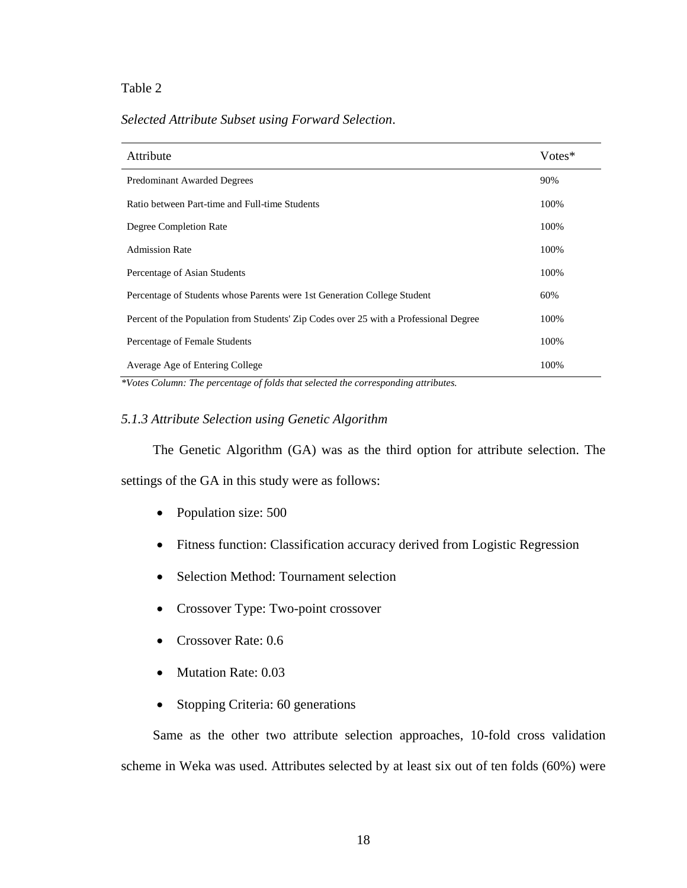### Table 2

### *Selected Attribute Subset using Forward Selection*.

| Attribute                                                                             | Votes* |
|---------------------------------------------------------------------------------------|--------|
| <b>Predominant Awarded Degrees</b>                                                    | 90%    |
| Ratio between Part-time and Full-time Students                                        | 100%   |
| Degree Completion Rate                                                                | 100%   |
| <b>Admission Rate</b>                                                                 | 100%   |
| Percentage of Asian Students                                                          | 100%   |
| Percentage of Students whose Parents were 1st Generation College Student              | 60%    |
| Percent of the Population from Students' Zip Codes over 25 with a Professional Degree | 100%   |
| Percentage of Female Students                                                         | 100%   |
| Average Age of Entering College                                                       | 100%   |

*\*Votes Column: The percentage of folds that selected the corresponding attributes.*

### *5.1.3 Attribute Selection using Genetic Algorithm*

The Genetic Algorithm (GA) was as the third option for attribute selection. The settings of the GA in this study were as follows:

- Population size: 500
- Fitness function: Classification accuracy derived from Logistic Regression
- Selection Method: Tournament selection
- Crossover Type: Two-point crossover
- Crossover Rate: 0.6
- Mutation Rate: 0.03
- Stopping Criteria: 60 generations

Same as the other two attribute selection approaches, 10-fold cross validation scheme in Weka was used. Attributes selected by at least six out of ten folds (60%) were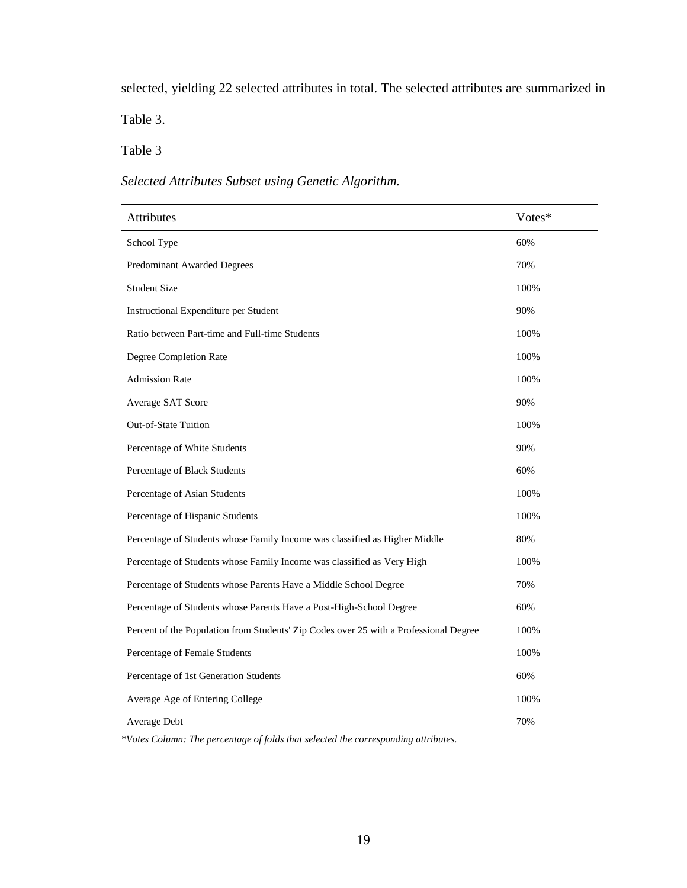selected, yielding 22 selected attributes in total. The selected attributes are summarized in

Table 3.

# Table 3

# *Selected Attributes Subset using Genetic Algorithm.*

| Attributes                                                                            | Votes* |
|---------------------------------------------------------------------------------------|--------|
| School Type                                                                           | 60%    |
| Predominant Awarded Degrees                                                           | 70%    |
| <b>Student Size</b>                                                                   | 100%   |
| Instructional Expenditure per Student                                                 | 90%    |
| Ratio between Part-time and Full-time Students                                        | 100%   |
| Degree Completion Rate                                                                | 100%   |
|                                                                                       |        |
| <b>Admission Rate</b>                                                                 | 100%   |
| Average SAT Score                                                                     | 90%    |
| Out-of-State Tuition                                                                  | 100%   |
| Percentage of White Students                                                          | 90%    |
| Percentage of Black Students                                                          | 60%    |
| Percentage of Asian Students                                                          | 100%   |
| Percentage of Hispanic Students                                                       | 100%   |
| Percentage of Students whose Family Income was classified as Higher Middle            | 80%    |
| Percentage of Students whose Family Income was classified as Very High                | 100%   |
| Percentage of Students whose Parents Have a Middle School Degree                      | 70%    |
| Percentage of Students whose Parents Have a Post-High-School Degree                   | 60%    |
| Percent of the Population from Students' Zip Codes over 25 with a Professional Degree | 100%   |
| Percentage of Female Students                                                         | 100%   |
| Percentage of 1st Generation Students                                                 | 60%    |
| Average Age of Entering College                                                       | 100%   |
| Average Debt                                                                          | 70%    |

*\*Votes Column: The percentage of folds that selected the corresponding attributes.*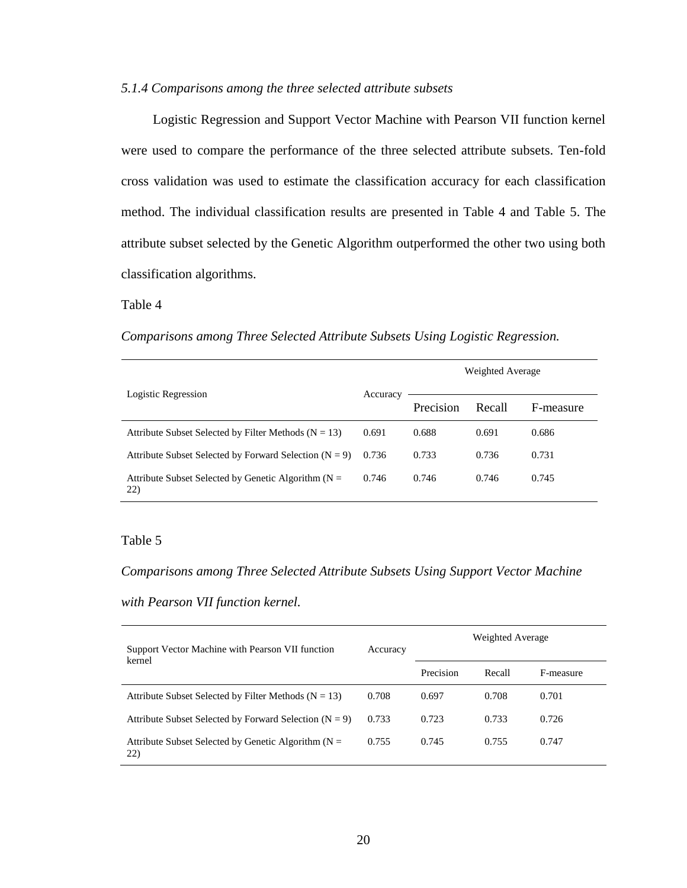### *5.1.4 Comparisons among the three selected attribute subsets*

Logistic Regression and Support Vector Machine with Pearson VII function kernel were used to compare the performance of the three selected attribute subsets. Ten-fold cross validation was used to estimate the classification accuracy for each classification method. The individual classification results are presented in Table 4 and Table 5. The attribute subset selected by the Genetic Algorithm outperformed the other two using both classification algorithms.

### Table 4

### *Comparisons among Three Selected Attribute Subsets Using Logistic Regression.*

| Logistic Regression                                           | Accuracy | Weighted Average |        |           |  |
|---------------------------------------------------------------|----------|------------------|--------|-----------|--|
|                                                               |          | Precision        | Recall | F-measure |  |
| Attribute Subset Selected by Filter Methods ( $N = 13$ )      | 0.691    | 0.688            | 0.691  | 0.686     |  |
| Attribute Subset Selected by Forward Selection ( $N = 9$ )    | 0.736    | 0.733            | 0.736  | 0.731     |  |
| Attribute Subset Selected by Genetic Algorithm ( $N =$<br>22) | 0.746    | 0.746            | 0.746  | 0.745     |  |

### Table 5

### *Comparisons among Three Selected Attribute Subsets Using Support Vector Machine*

### *with Pearson VII function kernel.*

| Support Vector Machine with Pearson VII function<br>kernel    | Accuracy | Weighted Average |        |           |  |
|---------------------------------------------------------------|----------|------------------|--------|-----------|--|
|                                                               |          | Precision        | Recall | F-measure |  |
| Attribute Subset Selected by Filter Methods ( $N = 13$ )      | 0.708    | 0.697            | 0.708  | 0.701     |  |
| Attribute Subset Selected by Forward Selection ( $N = 9$ )    | 0.733    | 0.723            | 0.733  | 0.726     |  |
| Attribute Subset Selected by Genetic Algorithm ( $N =$<br>22) | 0.755    | 0.745            | 0.755  | 0.747     |  |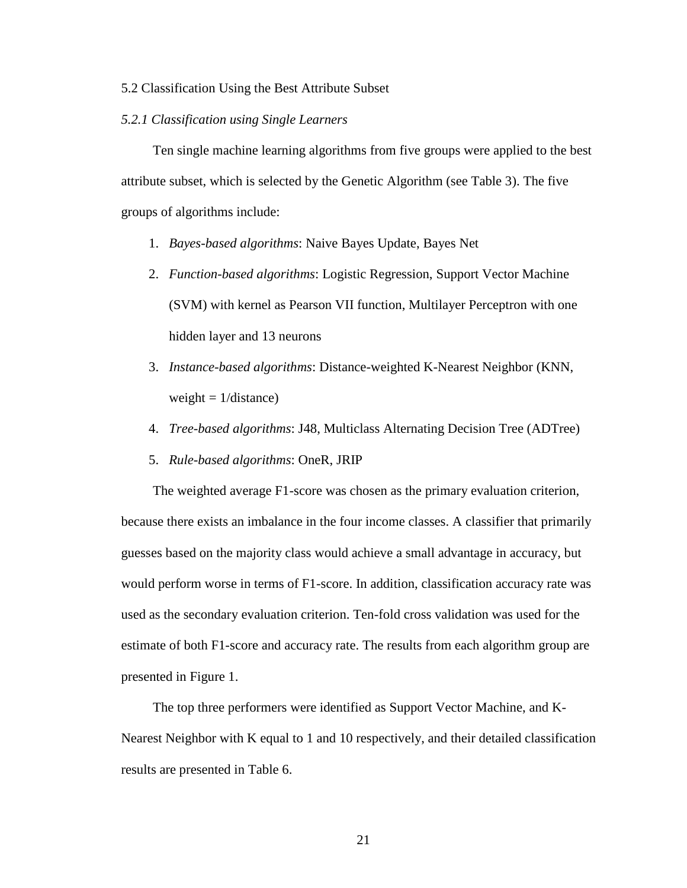#### 5.2 Classification Using the Best Attribute Subset

### *5.2.1 Classification using Single Learners*

Ten single machine learning algorithms from five groups were applied to the best attribute subset, which is selected by the Genetic Algorithm (see Table 3). The five groups of algorithms include:

- 1. *Bayes-based algorithms*: Naive Bayes Update, Bayes Net
- 2. *Function-based algorithms*: Logistic Regression, Support Vector Machine (SVM) with kernel as Pearson VII function, Multilayer Perceptron with one hidden layer and 13 neurons
- 3. *Instance-based algorithms*: Distance-weighted K-Nearest Neighbor (KNN, weight  $= 1/d$ istance)
- 4. *Tree-based algorithms*: J48, Multiclass Alternating Decision Tree (ADTree)
- 5. *Rule-based algorithms*: OneR, JRIP

The weighted average F1-score was chosen as the primary evaluation criterion, because there exists an imbalance in the four income classes. A classifier that primarily guesses based on the majority class would achieve a small advantage in accuracy, but would perform worse in terms of F1-score. In addition, classification accuracy rate was used as the secondary evaluation criterion. Ten-fold cross validation was used for the estimate of both F1-score and accuracy rate. The results from each algorithm group are presented in Figure 1.

The top three performers were identified as Support Vector Machine, and K-Nearest Neighbor with K equal to 1 and 10 respectively, and their detailed classification results are presented in Table 6.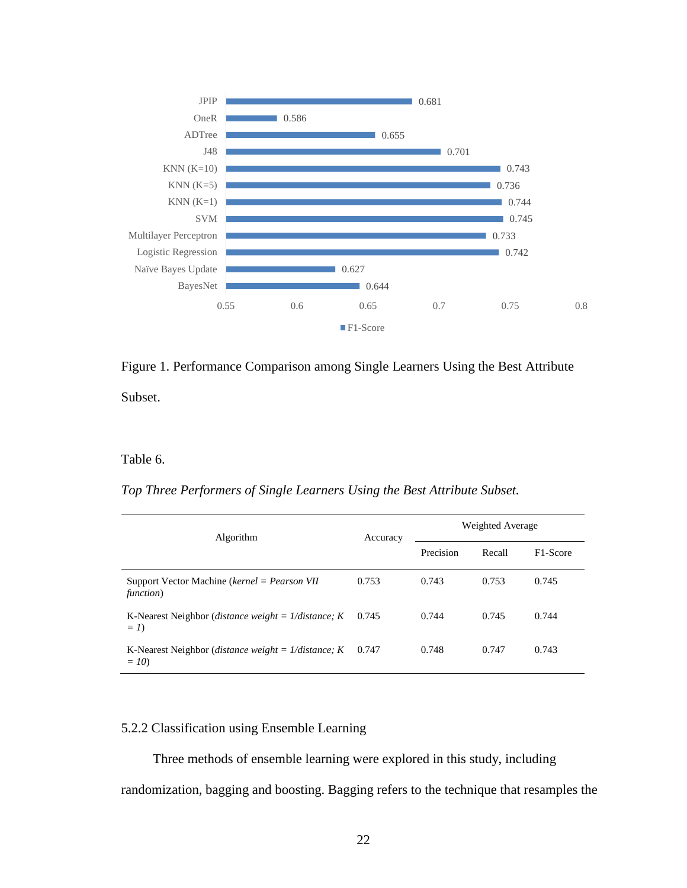

Figure 1. Performance Comparison among Single Learners Using the Best Attribute Subset.

### Table 6.

*Top Three Performers of Single Learners Using the Best Attribute Subset.*

| <b>Algorithm</b>                                                               | Accuracy | Weighted Average |        |                       |  |
|--------------------------------------------------------------------------------|----------|------------------|--------|-----------------------|--|
|                                                                                |          | Precision        | Recall | F <sub>1</sub> -Score |  |
| Support Vector Machine ( $kernel = Pearson VII$<br>function)                   | 0.753    | 0.743            | 0.753  | 0.745                 |  |
| K-Nearest Neighbor ( <i>distance weight</i> = $1/distance$ ; <i>K</i><br>$= I$ | 0.745    | 0.744            | 0.745  | 0.744                 |  |
| K-Nearest Neighbor ( <i>distance weight = 1/distance</i> ; $K$<br>$=10$        | 0.747    | 0.748            | 0.747  | 0.743                 |  |

### 5.2.2 Classification using Ensemble Learning

Three methods of ensemble learning were explored in this study, including randomization, bagging and boosting. Bagging refers to the technique that resamples the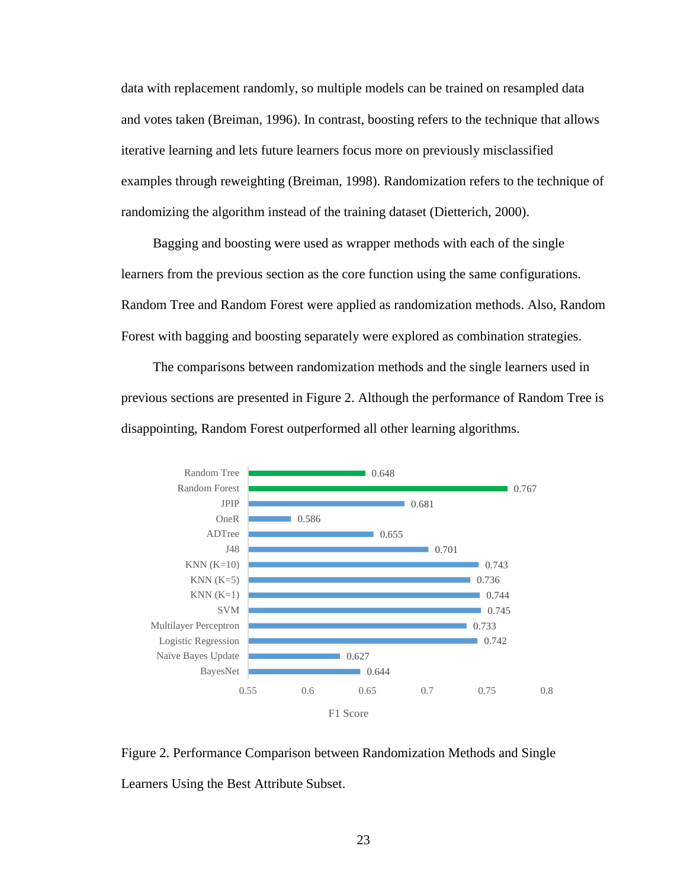data with replacement randomly, so multiple models can be trained on resampled data and votes taken (Breiman, 1996). In contrast, boosting refers to the technique that allows iterative learning and lets future learners focus more on previously misclassified examples through reweighting (Breiman, 1998). Randomization refers to the technique of randomizing the algorithm instead of the training dataset (Dietterich, 2000).

Bagging and boosting were used as wrapper methods with each of the single learners from the previous section as the core function using the same configurations. Random Tree and Random Forest were applied as randomization methods. Also, Random Forest with bagging and boosting separately were explored as combination strategies.

The comparisons between randomization methods and the single learners used in previous sections are presented in Figure 2. Although the performance of Random Tree is disappointing, Random Forest outperformed all other learning algorithms.



Figure 2. Performance Comparison between Randomization Methods and Single Learners Using the Best Attribute Subset.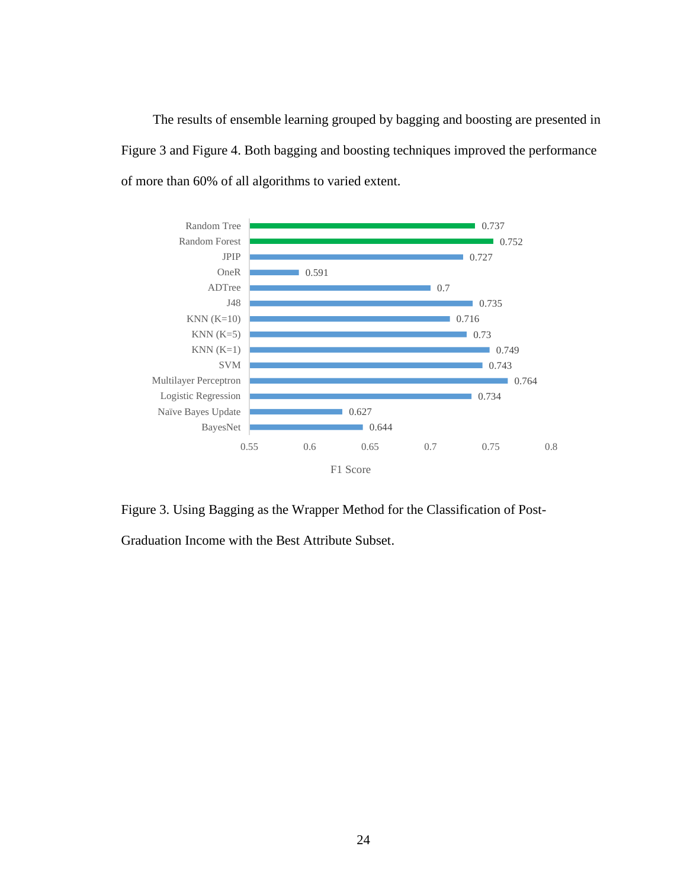The results of ensemble learning grouped by bagging and boosting are presented in Figure 3 and Figure 4. Both bagging and boosting techniques improved the performance of more than 60% of all algorithms to varied extent.



Figure 3. Using Bagging as the Wrapper Method for the Classification of Post-

Graduation Income with the Best Attribute Subset.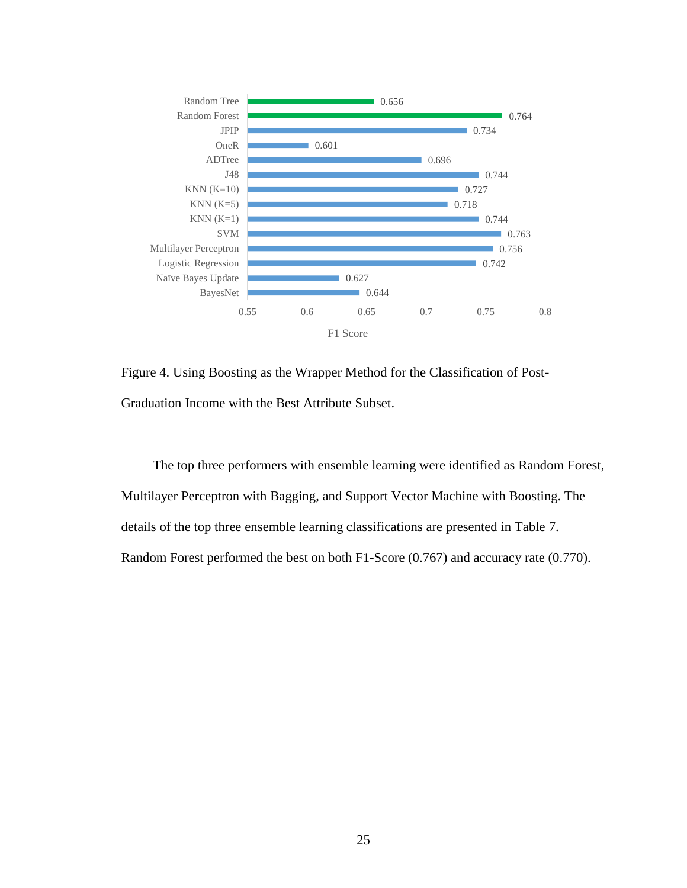

Figure 4. Using Boosting as the Wrapper Method for the Classification of Post-Graduation Income with the Best Attribute Subset.

The top three performers with ensemble learning were identified as Random Forest, Multilayer Perceptron with Bagging, and Support Vector Machine with Boosting. The details of the top three ensemble learning classifications are presented in Table 7. Random Forest performed the best on both F1-Score (0.767) and accuracy rate (0.770).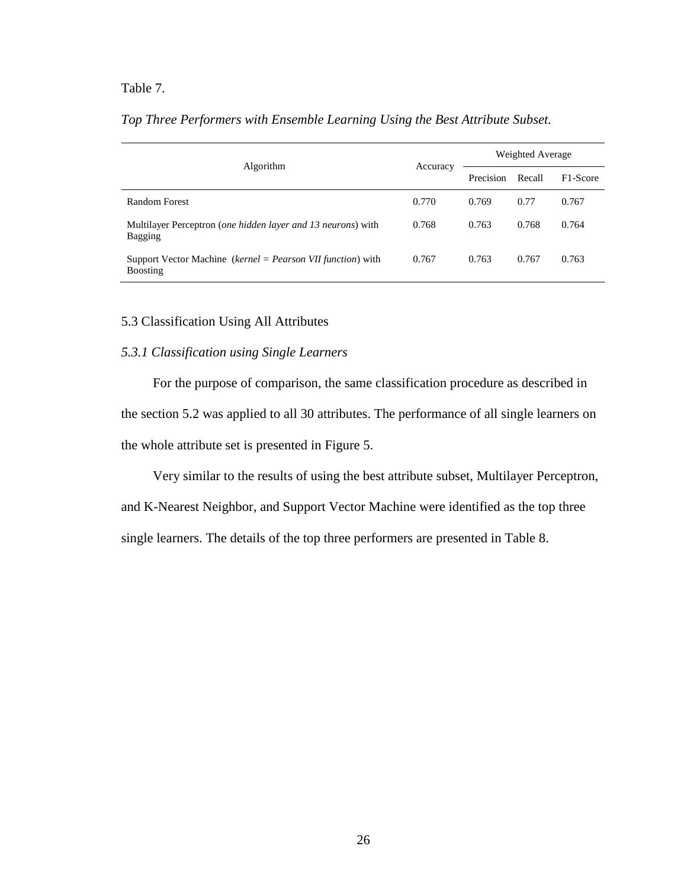### Table 7.

| <b>Algorithm</b>                                                                   | Accuracy | Weighted Average |        |                       |
|------------------------------------------------------------------------------------|----------|------------------|--------|-----------------------|
|                                                                                    |          | Precision        | Recall | F <sub>1</sub> -Score |
| Random Forest                                                                      | 0.770    | 0.769            | 0.77   | 0.767                 |
| Multilayer Perceptron ( <i>one hidden layer and 13 neurons</i> ) with<br>Bagging   | 0.768    | 0.763            | 0.768  | 0.764                 |
| Support Vector Machine ( $kernel = Pearson VII function$ ) with<br><b>Boosting</b> | 0.767    | 0.763            | 0.767  | 0.763                 |

### *Top Three Performers with Ensemble Learning Using the Best Attribute Subset.*

### 5.3 Classification Using All Attributes

### *5.3.1 Classification using Single Learners*

For the purpose of comparison, the same classification procedure as described in the section 5.2 was applied to all 30 attributes. The performance of all single learners on the whole attribute set is presented in Figure 5.

Very similar to the results of using the best attribute subset, Multilayer Perceptron,

and K-Nearest Neighbor, and Support Vector Machine were identified as the top three single learners. The details of the top three performers are presented in Table 8.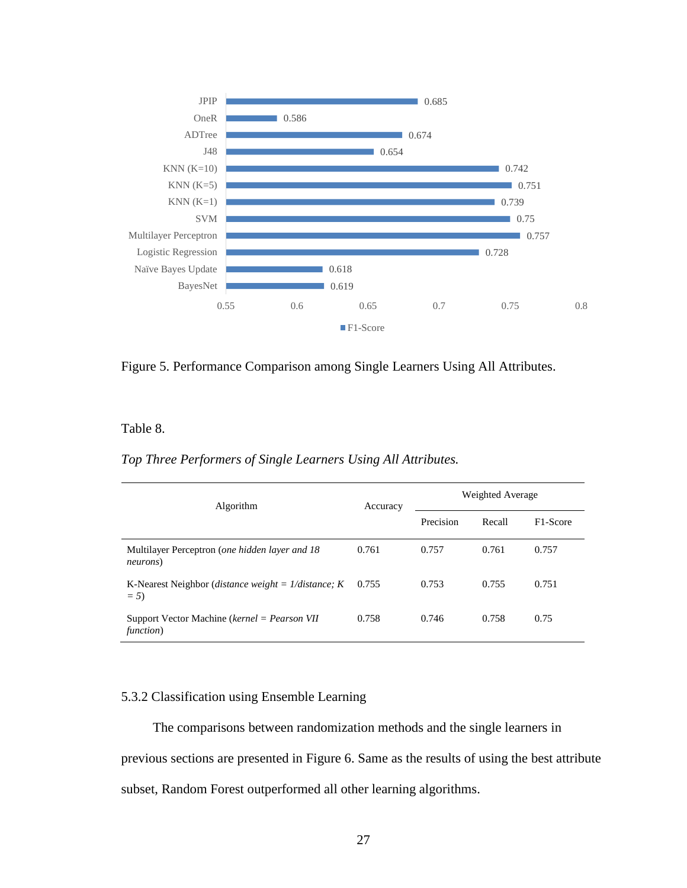

Figure 5. Performance Comparison among Single Learners Using All Attributes.

Table 8.

### *Top Three Performers of Single Learners Using All Attributes.*

| Algorithm                                                               | Accuracy | Weighted Average |        |          |
|-------------------------------------------------------------------------|----------|------------------|--------|----------|
|                                                                         |          | Precision        | Recall | F1-Score |
| Multilayer Perceptron ( <i>one hidden layer and 18</i><br>neurons)      | 0.761    | 0.757            | 0.761  | 0.757    |
| K-Nearest Neighbor ( <i>distance weight = 1/distance</i> ; $K$<br>$= 5$ | 0.755    | 0.753            | 0.755  | 0.751    |
| Support Vector Machine ( $kernel = Pearson VII$<br>function)            | 0.758    | 0.746            | 0.758  | 0.75     |

### 5.3.2 Classification using Ensemble Learning

The comparisons between randomization methods and the single learners in previous sections are presented in Figure 6. Same as the results of using the best attribute subset, Random Forest outperformed all other learning algorithms.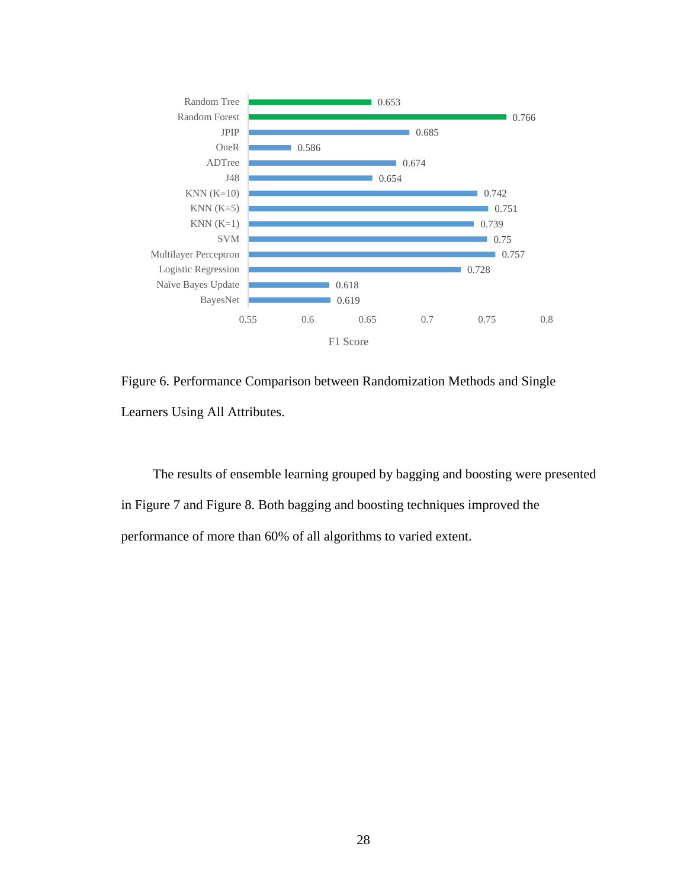

Figure 6. Performance Comparison between Randomization Methods and Single Learners Using All Attributes.

The results of ensemble learning grouped by bagging and boosting were presented in Figure 7 and Figure 8. Both bagging and boosting techniques improved the performance of more than 60% of all algorithms to varied extent.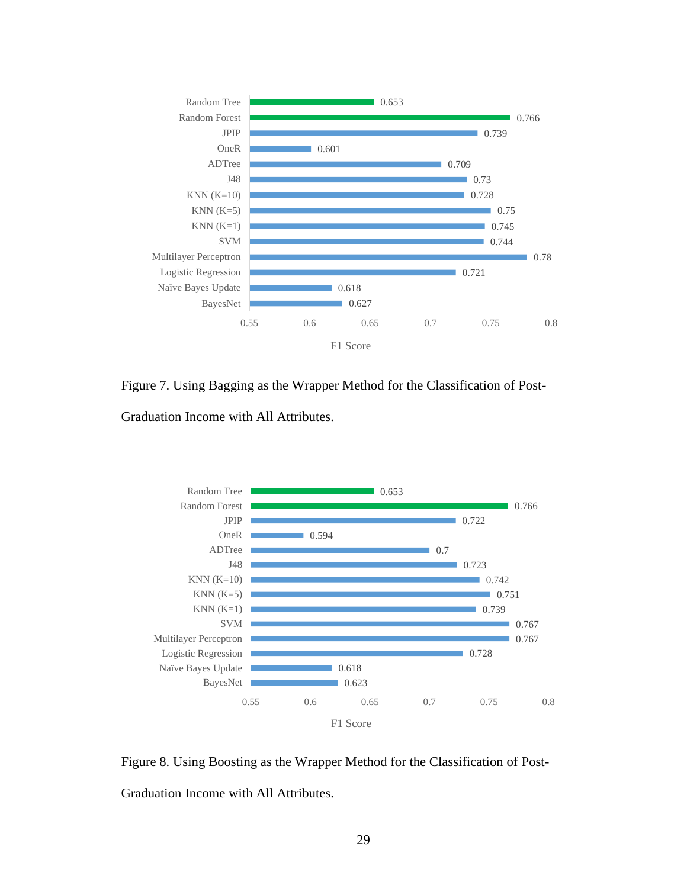

Figure 7. Using Bagging as the Wrapper Method for the Classification of Post-Graduation Income with All Attributes.



Figure 8. Using Boosting as the Wrapper Method for the Classification of Post-Graduation Income with All Attributes.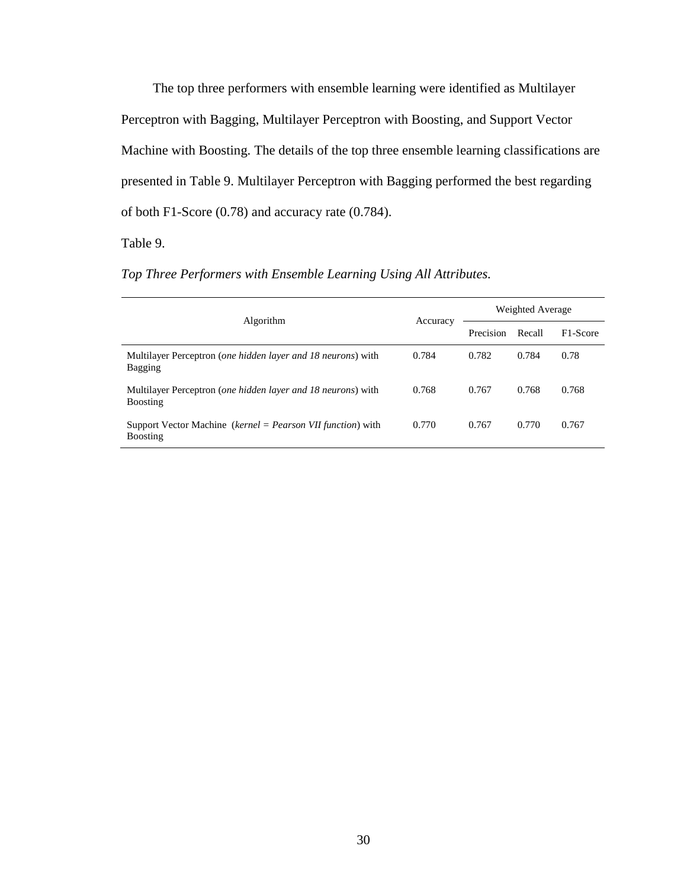The top three performers with ensemble learning were identified as Multilayer Perceptron with Bagging, Multilayer Perceptron with Boosting, and Support Vector Machine with Boosting. The details of the top three ensemble learning classifications are presented in Table 9. Multilayer Perceptron with Bagging performed the best regarding of both F1-Score (0.78) and accuracy rate (0.784).

### Table 9.

### *Top Three Performers with Ensemble Learning Using All Attributes.*

| Algorithm                                                                        | Accuracy | Weighted Average |        |                       |
|----------------------------------------------------------------------------------|----------|------------------|--------|-----------------------|
|                                                                                  |          | Precision        | Recall | F <sub>1</sub> -Score |
| Multilayer Perceptron ( <i>one hidden layer and 18 neurons</i> ) with<br>Bagging | 0.784    | 0.782            | 0.784  | 0.78                  |
| Multilayer Perceptron (one hidden layer and 18 neurons) with<br><b>Boosting</b>  | 0.768    | 0.767            | 0.768  | 0.768                 |
| Support Vector Machine (kernel = Pearson VII function) with<br><b>Boosting</b>   | 0.770    | 0.767            | 0.770  | 0.767                 |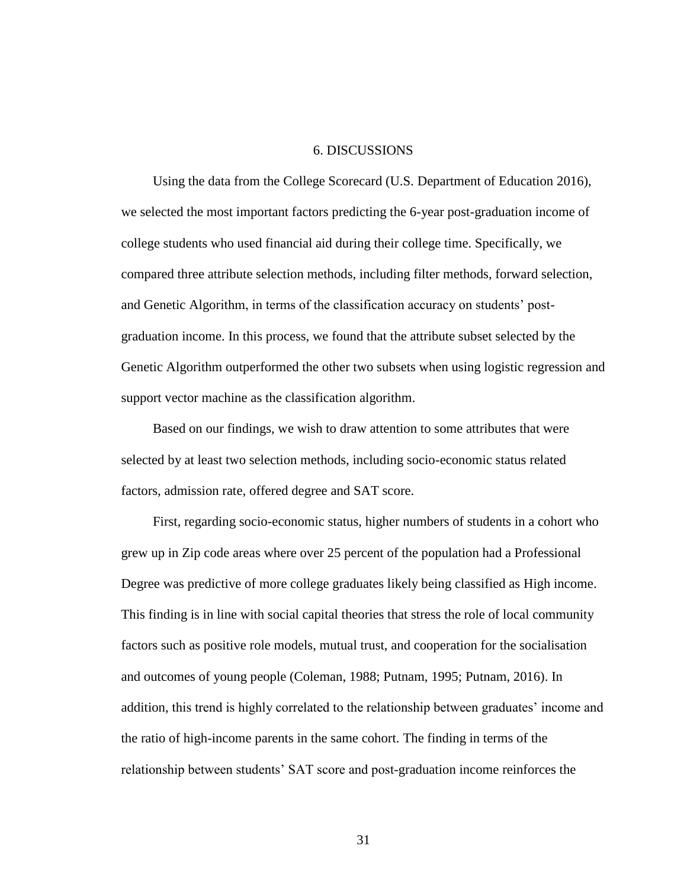### 6. DISCUSSIONS

Using the data from the College Scorecard (U.S. Department of Education 2016), we selected the most important factors predicting the 6-year post-graduation income of college students who used financial aid during their college time. Specifically, we compared three attribute selection methods, including filter methods, forward selection, and Genetic Algorithm, in terms of the classification accuracy on students' postgraduation income. In this process, we found that the attribute subset selected by the Genetic Algorithm outperformed the other two subsets when using logistic regression and support vector machine as the classification algorithm.

Based on our findings, we wish to draw attention to some attributes that were selected by at least two selection methods, including socio-economic status related factors, admission rate, offered degree and SAT score.

First, regarding socio-economic status, higher numbers of students in a cohort who grew up in Zip code areas where over 25 percent of the population had a Professional Degree was predictive of more college graduates likely being classified as High income. This finding is in line with social capital theories that stress the role of local community factors such as positive role models, mutual trust, and cooperation for the socialisation and outcomes of young people (Coleman, 1988; Putnam, 1995; Putnam, 2016). In addition, this trend is highly correlated to the relationship between graduates' income and the ratio of high-income parents in the same cohort. The finding in terms of the relationship between students' SAT score and post-graduation income reinforces the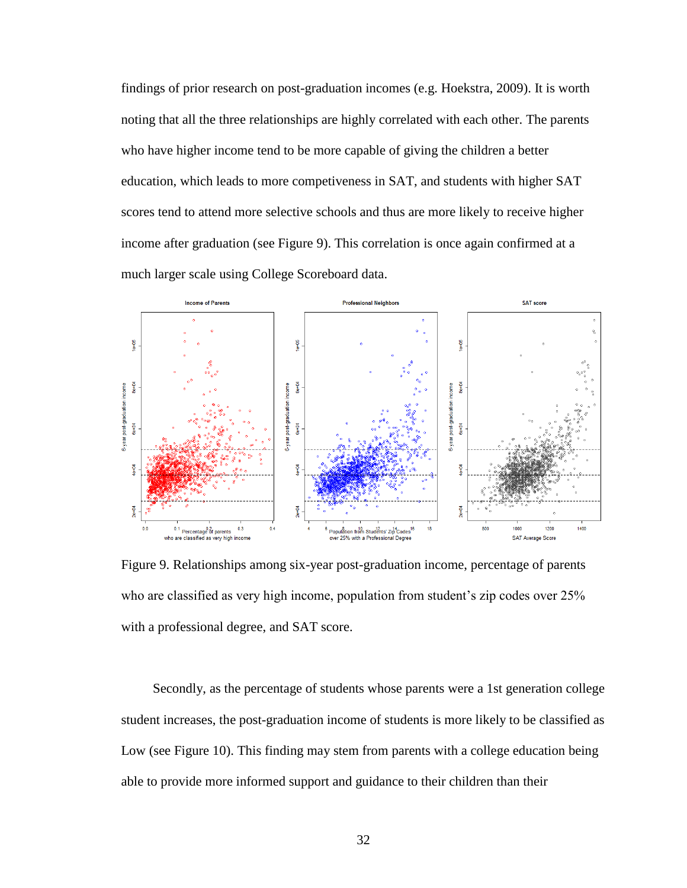findings of prior research on post-graduation incomes (e.g. Hoekstra, 2009). It is worth noting that all the three relationships are highly correlated with each other. The parents who have higher income tend to be more capable of giving the children a better education, which leads to more competiveness in SAT, and students with higher SAT scores tend to attend more selective schools and thus are more likely to receive higher income after graduation (see Figure 9). This correlation is once again confirmed at a much larger scale using College Scoreboard data.



Figure 9. Relationships among six-year post-graduation income, percentage of parents who are classified as very high income, population from student's zip codes over 25% with a professional degree, and SAT score.

Secondly, as the percentage of students whose parents were a 1st generation college student increases, the post-graduation income of students is more likely to be classified as Low (see Figure 10). This finding may stem from parents with a college education being able to provide more informed support and guidance to their children than their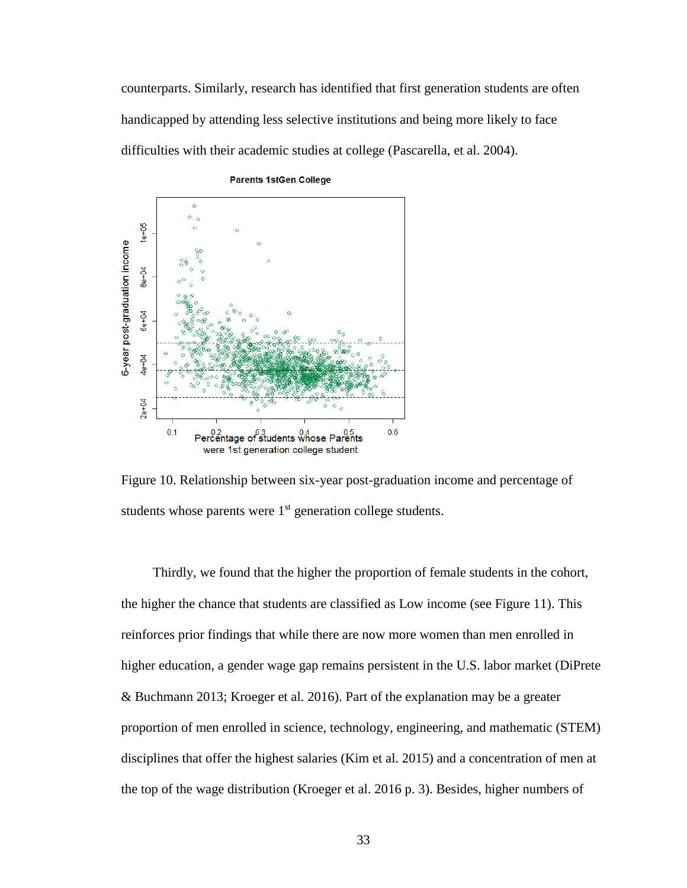counterparts. Similarly, research has identified that first generation students are often handicapped by attending less selective institutions and being more likely to face difficulties with their academic studies at college (Pascarella, et al. 2004).



**Parents 1stGen College** 

Figure 10. Relationship between six-year post-graduation income and percentage of students whose parents were 1<sup>st</sup> generation college students.

Thirdly, we found that the higher the proportion of female students in the cohort, the higher the chance that students are classified as Low income (see Figure 11). This reinforces prior findings that while there are now more women than men enrolled in higher education, a gender wage gap remains persistent in the U.S. labor market (DiPrete & Buchmann 2013; Kroeger et al. 2016). Part of the explanation may be a greater proportion of men enrolled in science, technology, engineering, and mathematic (STEM) disciplines that offer the highest salaries (Kim et al. 2015) and a concentration of men at the top of the wage distribution (Kroeger et al. 2016 p. 3). Besides, higher numbers of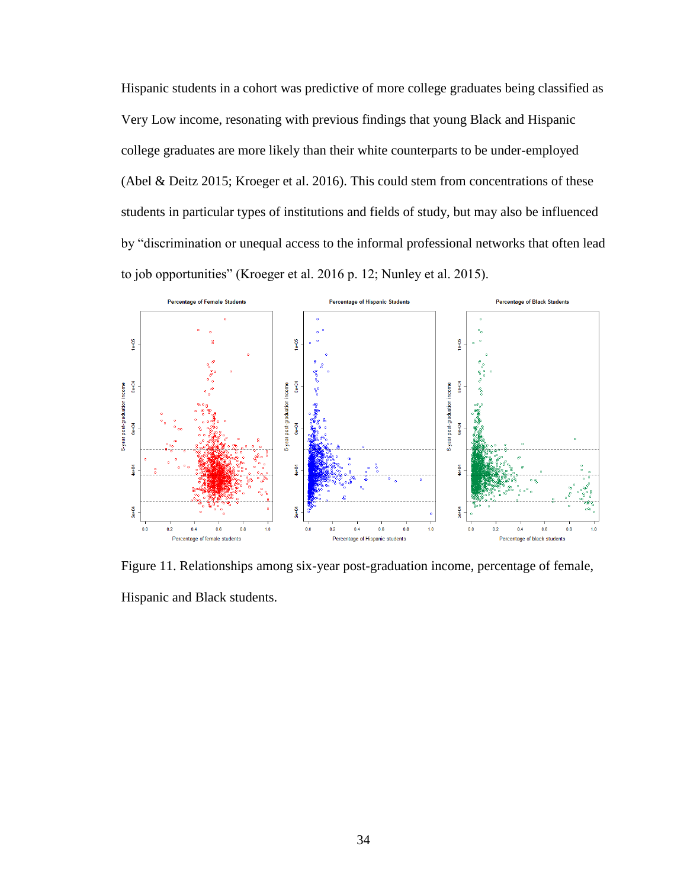Hispanic students in a cohort was predictive of more college graduates being classified as Very Low income, resonating with previous findings that young Black and Hispanic college graduates are more likely than their white counterparts to be under-employed (Abel & Deitz 2015; Kroeger et al. 2016). This could stem from concentrations of these students in particular types of institutions and fields of study, but may also be influenced by "discrimination or unequal access to the informal professional networks that often lead to job opportunities" (Kroeger et al. 2016 p. 12; Nunley et al. 2015).



Figure 11. Relationships among six-year post-graduation income, percentage of female, Hispanic and Black students.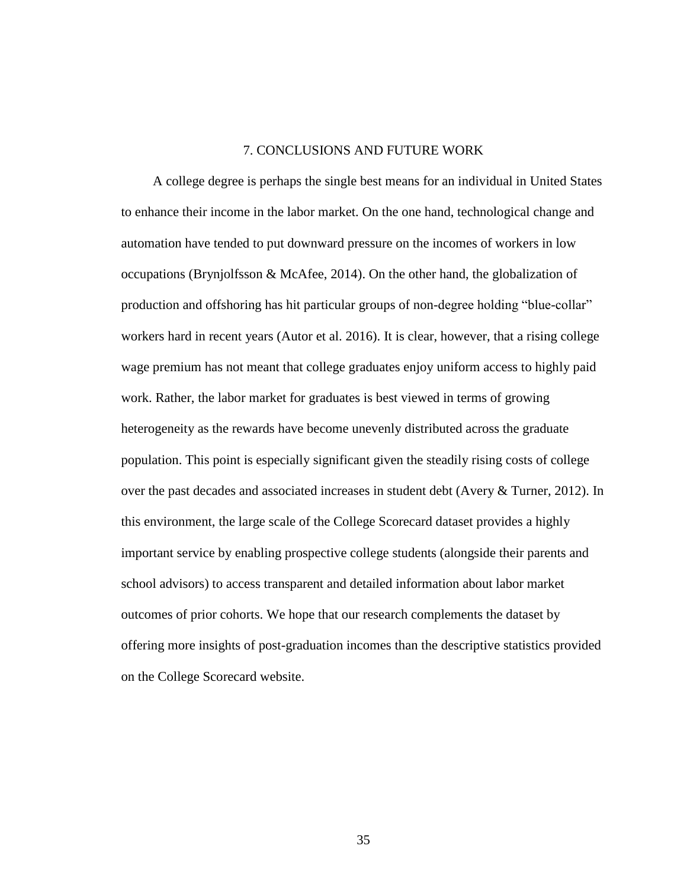### 7. CONCLUSIONS AND FUTURE WORK

A college degree is perhaps the single best means for an individual in United States to enhance their income in the labor market. On the one hand, technological change and automation have tended to put downward pressure on the incomes of workers in low occupations (Brynjolfsson & McAfee, 2014). On the other hand, the globalization of production and offshoring has hit particular groups of non-degree holding "blue-collar" workers hard in recent years (Autor et al. 2016). It is clear, however, that a rising college wage premium has not meant that college graduates enjoy uniform access to highly paid work. Rather, the labor market for graduates is best viewed in terms of growing heterogeneity as the rewards have become unevenly distributed across the graduate population. This point is especially significant given the steadily rising costs of college over the past decades and associated increases in student debt (Avery & Turner, 2012). In this environment, the large scale of the College Scorecard dataset provides a highly important service by enabling prospective college students (alongside their parents and school advisors) to access transparent and detailed information about labor market outcomes of prior cohorts. We hope that our research complements the dataset by offering more insights of post-graduation incomes than the descriptive statistics provided on the College Scorecard website.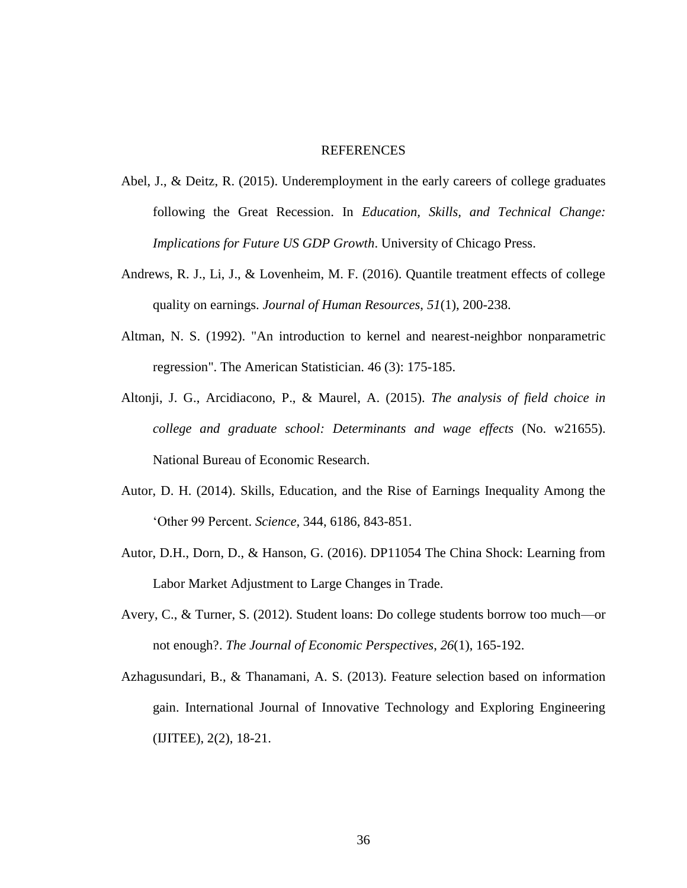### **REFERENCES**

- Abel, J., & Deitz, R. (2015). Underemployment in the early careers of college graduates following the Great Recession. In *Education, Skills, and Technical Change: Implications for Future US GDP Growth*. University of Chicago Press.
- Andrews, R. J., Li, J., & Lovenheim, M. F. (2016). Quantile treatment effects of college quality on earnings. *Journal of Human Resources*, *51*(1), 200-238.
- Altman, N. S. (1992). "An introduction to kernel and nearest-neighbor nonparametric regression". The American Statistician. 46 (3): 175-185.
- Altonji, J. G., Arcidiacono, P., & Maurel, A. (2015). *The analysis of field choice in college and graduate school: Determinants and wage effects* (No. w21655). National Bureau of Economic Research.
- Autor, D. H. (2014). Skills, Education, and the Rise of Earnings Inequality Among the 'Other 99 Percent. *Science,* 344, 6186, 843-851.
- Autor, D.H., Dorn, D., & Hanson, G. (2016). DP11054 The China Shock: Learning from Labor Market Adjustment to Large Changes in Trade.
- Avery, C., & Turner, S. (2012). Student loans: Do college students borrow too much—or not enough?. *The Journal of Economic Perspectives*, *26*(1), 165-192.
- Azhagusundari, B., & Thanamani, A. S. (2013). Feature selection based on information gain. International Journal of Innovative Technology and Exploring Engineering (IJITEE), 2(2), 18-21.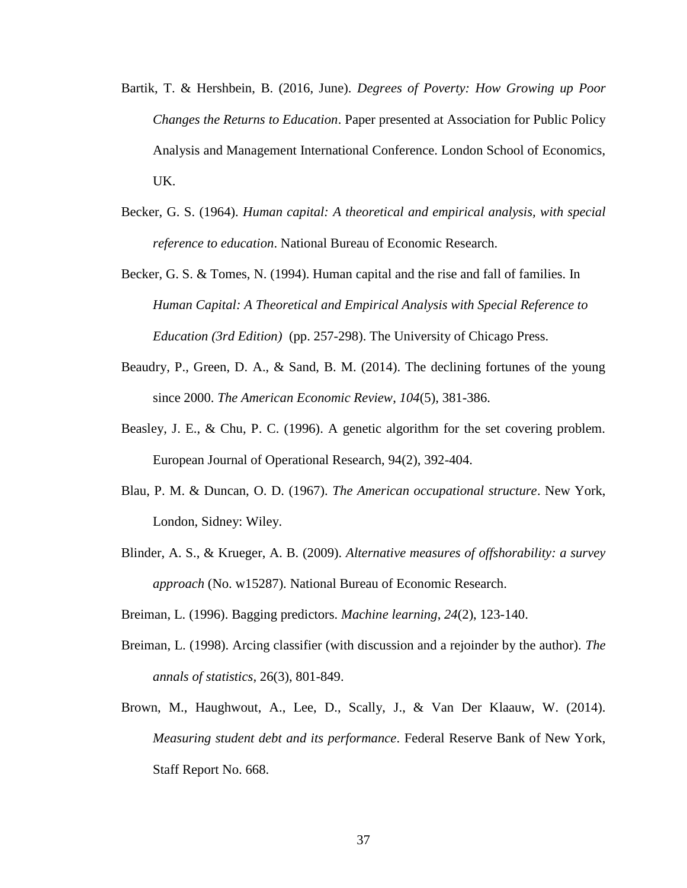- Bartik, T. & Hershbein, B. (2016, June). *Degrees of Poverty: How Growing up Poor Changes the Returns to Education*. Paper presented at Association for Public Policy Analysis and Management International Conference. London School of Economics, UK.
- Becker, G. S. (1964). *Human capital: A theoretical and empirical analysis, with special reference to education*. National Bureau of Economic Research.
- Becker, G. S. & Tomes, N. (1994). Human capital and the rise and fall of families. In *Human Capital: A Theoretical and Empirical Analysis with Special Reference to Education (3rd Edition)* (pp. 257-298). The University of Chicago Press.
- Beaudry, P., Green, D. A., & Sand, B. M. (2014). The declining fortunes of the young since 2000. *The American Economic Review*, *104*(5), 381-386.
- Beasley, J. E., & Chu, P. C. (1996). A genetic algorithm for the set covering problem. European Journal of Operational Research, 94(2), 392-404.
- Blau, P. M. & Duncan, O. D. (1967). *The American occupational structure*. New York, London, Sidney: Wiley.
- Blinder, A. S., & Krueger, A. B. (2009). *Alternative measures of offshorability: a survey approach* (No. w15287). National Bureau of Economic Research.
- Breiman, L. (1996). Bagging predictors. *Machine learning*, *24*(2), 123-140.
- Breiman, L. (1998). Arcing classifier (with discussion and a rejoinder by the author). *The annals of statistics*, 26(3), 801-849.
- Brown, M., Haughwout, A., Lee, D., Scally, J., & Van Der Klaauw, W. (2014). *Measuring student debt and its performance*. Federal Reserve Bank of New York, Staff Report No. 668.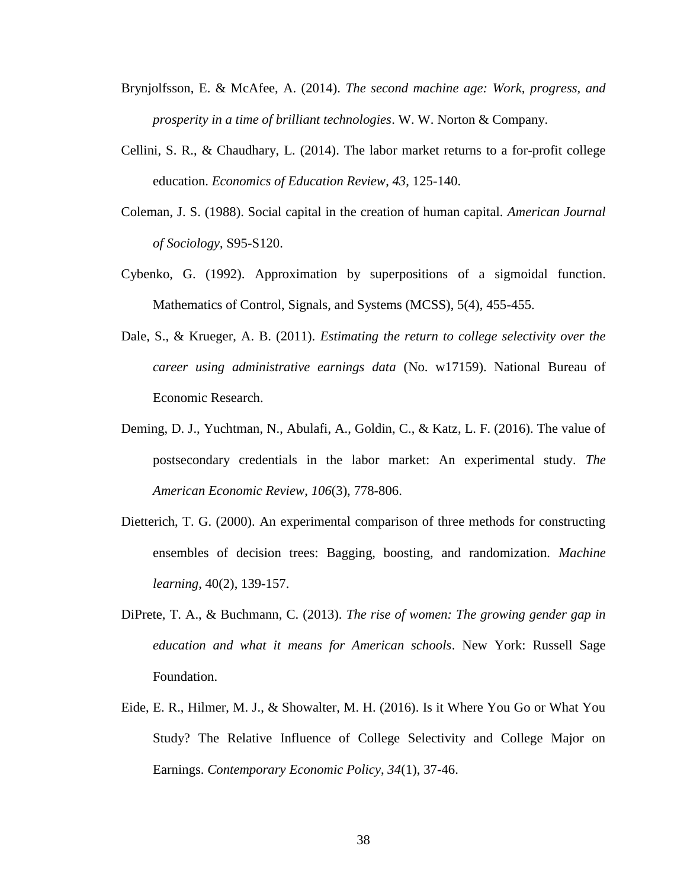- Brynjolfsson, E. & McAfee, A. (2014). *The second machine age: Work, progress, and prosperity in a time of brilliant technologies*. W. W. Norton & Company.
- Cellini, S. R., & Chaudhary, L. (2014). The labor market returns to a for-profit college education. *Economics of Education Review*, *43*, 125-140.
- Coleman, J. S. (1988). Social capital in the creation of human capital. *American Journal of Sociology*, S95-S120.
- Cybenko, G. (1992). Approximation by superpositions of a sigmoidal function. Mathematics of Control, Signals, and Systems (MCSS), 5(4), 455-455.
- Dale, S., & Krueger, A. B. (2011). *Estimating the return to college selectivity over the career using administrative earnings data* (No. w17159). National Bureau of Economic Research.
- Deming, D. J., Yuchtman, N., Abulafi, A., Goldin, C., & Katz, L. F. (2016). The value of postsecondary credentials in the labor market: An experimental study. *The American Economic Review*, *106*(3), 778-806.
- Dietterich, T. G. (2000). An experimental comparison of three methods for constructing ensembles of decision trees: Bagging, boosting, and randomization. *Machine learning*, 40(2), 139-157.
- DiPrete, T. A., & Buchmann, C. (2013). *The rise of women: The growing gender gap in education and what it means for American schools*. New York: Russell Sage Foundation.
- Eide, E. R., Hilmer, M. J., & Showalter, M. H. (2016). Is it Where You Go or What You Study? The Relative Influence of College Selectivity and College Major on Earnings. *Contemporary Economic Policy*, *34*(1), 37-46.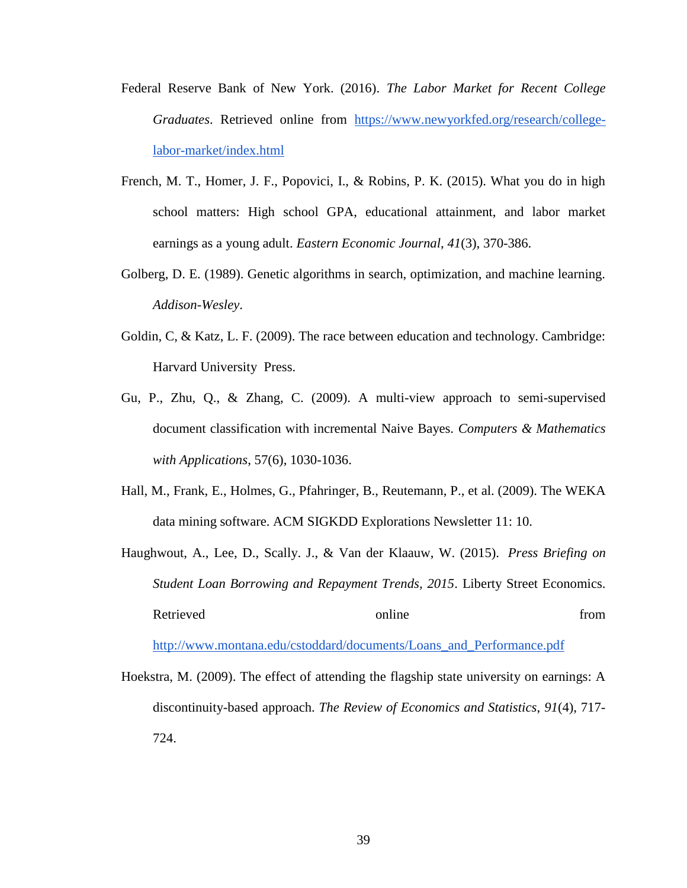- Federal Reserve Bank of New York. (2016). *The Labor Market for Recent College Graduates*. Retrieved online from [https://www.newyorkfed.org/research/college](https://www.newyorkfed.org/research/college-labor-market/index.html)[labor-market/index.html](https://www.newyorkfed.org/research/college-labor-market/index.html)
- French, M. T., Homer, J. F., Popovici, I., & Robins, P. K. (2015). What you do in high school matters: High school GPA, educational attainment, and labor market earnings as a young adult. *Eastern Economic Journal*, *41*(3), 370-386.
- Golberg, D. E. (1989). Genetic algorithms in search, optimization, and machine learning. *Addison-Wesley*.
- Goldin, C, & Katz, L. F. (2009). The race between education and technology. Cambridge: Harvard University Press.
- Gu, P., Zhu, Q., & Zhang, C. (2009). A multi-view approach to semi-supervised document classification with incremental Naive Bayes. *Computers & Mathematics with Applications*, 57(6), 1030-1036.
- Hall, M., Frank, E., Holmes, G., Pfahringer, B., Reutemann, P., et al. (2009). The WEKA data mining software. ACM SIGKDD Explorations Newsletter 11: 10.
- Haughwout, A., Lee, D., Scally. J., & Van der Klaauw, W. (2015). *Press Briefing on Student Loan Borrowing and Repayment Trends, 2015*. Liberty Street Economics. Retrieved conline contracts online fro[m](http://www.montana.edu/cstoddard/documents/Loans_and_Performance.pdf)

[http://www.montana.edu/cstoddard/documents/Loans\\_and\\_Performance.pdf](http://www.montana.edu/cstoddard/documents/Loans_and_Performance.pdf)

Hoekstra, M. (2009). The effect of attending the flagship state university on earnings: A discontinuity-based approach. *The Review of Economics and Statistics*, *91*(4), 717- 724.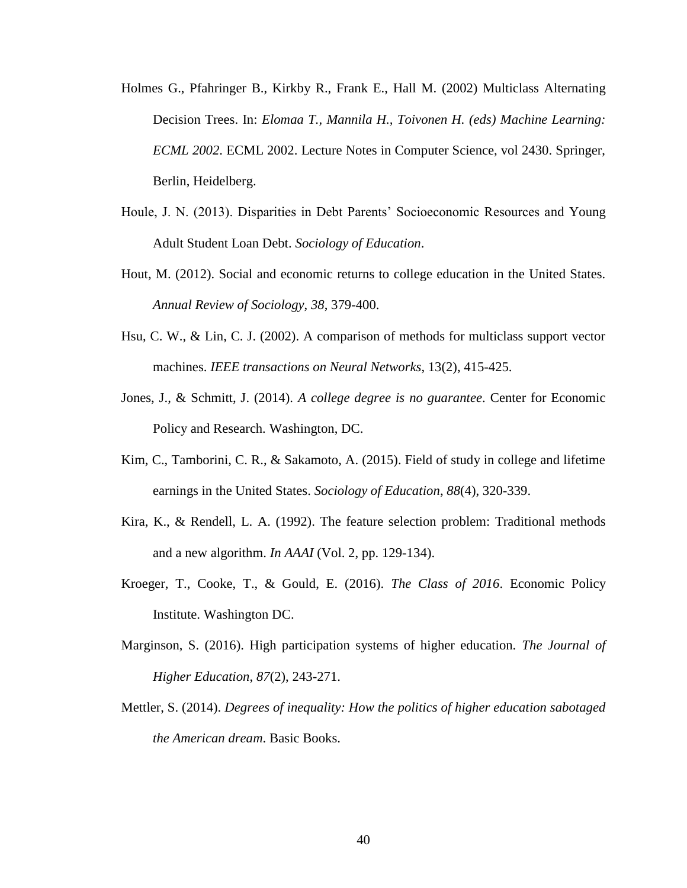- Holmes G., Pfahringer B., Kirkby R., Frank E., Hall M. (2002) Multiclass Alternating Decision Trees. In: *Elomaa T., Mannila H., Toivonen H. (eds) Machine Learning: ECML 2002*. ECML 2002. Lecture Notes in Computer Science, vol 2430. Springer, Berlin, Heidelberg.
- Houle, J. N. (2013). Disparities in Debt Parents' Socioeconomic Resources and Young Adult Student Loan Debt. *Sociology of Education*.
- Hout, M. (2012). Social and economic returns to college education in the United States. *Annual Review of Sociology*, *38*, 379-400.
- Hsu, C. W., & Lin, C. J. (2002). A comparison of methods for multiclass support vector machines. *IEEE transactions on Neural Networks*, 13(2), 415-425.
- Jones, J., & Schmitt, J. (2014). *A college degree is no guarantee*. Center for Economic Policy and Research*.* Washington, DC.
- Kim, C., Tamborini, C. R., & Sakamoto, A. (2015). Field of study in college and lifetime earnings in the United States. *Sociology of Education*, *88*(4), 320-339.
- Kira, K., & Rendell, L. A. (1992). The feature selection problem: Traditional methods and a new algorithm. *In AAAI* (Vol. 2, pp. 129-134).
- Kroeger, T., Cooke, T., & Gould, E. (2016). *The Class of 2016*. Economic Policy Institute. Washington DC.
- Marginson, S. (2016). High participation systems of higher education. *The Journal of Higher Education*, *87*(2), 243-271.
- Mettler, S. (2014). *Degrees of inequality: How the politics of higher education sabotaged the American dream*. Basic Books.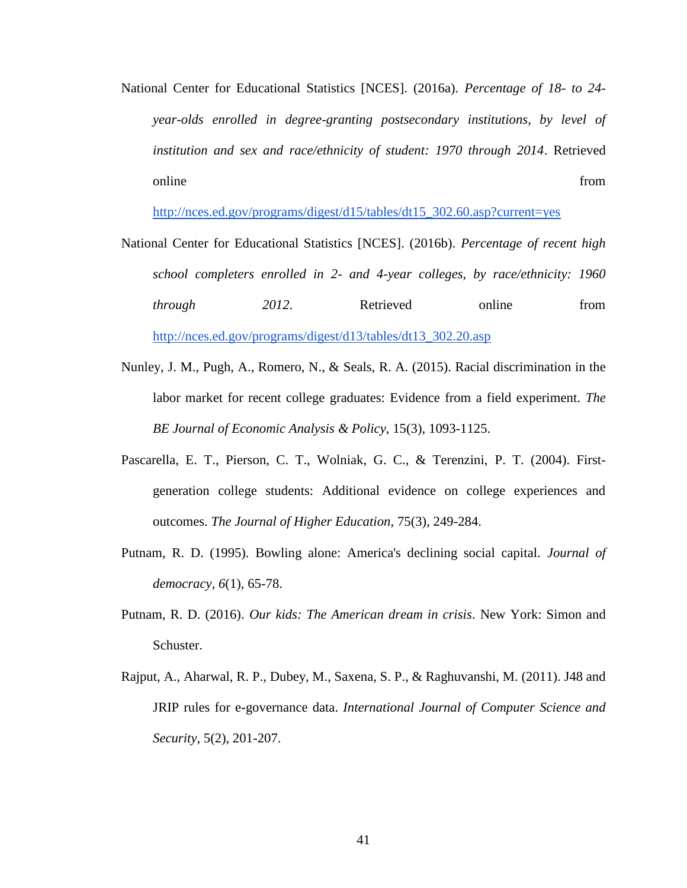National Center for Educational Statistics [NCES]. (2016a). *Percentage of 18- to 24 year-olds enrolled in degree-granting postsecondary institutions, by level of institution and sex and race/ethnicity of student: 1970 through 2014*. Retrieved online fro[m](http://nces.ed.gov/programs/digest/d15/tables/dt15_302.60.asp?current=yes)  $\sum_{n=1}^{\infty}$  from  $\sum_{n=1}^{\infty}$  from  $\sum_{n=1}^{\infty}$  from  $\sum_{n=1}^{\infty}$  from  $\sum_{n=1}^{\infty}$  from  $\sum_{n=1}^{\infty}$  from  $\sum_{n=1}^{\infty}$  from  $\sum_{n=1}^{\infty}$  from  $\sum_{n=1}^{\infty}$  from  $\sum_{n=1}^{\infty}$  from  $\sum_{n=1}^{\$ 

[http://nces.ed.gov/programs/digest/d15/tables/dt15\\_302.60.asp?current=yes](http://nces.ed.gov/programs/digest/d15/tables/dt15_302.60.asp?current=yes)

- National Center for Educational Statistics [NCES]. (2016b). *Percentage of recent high school completers enrolled in 2- and 4-year colleges, by race/ethnicity: 1960 through* 2012. Retrieved online fro[m](http://nces.ed.gov/programs/digest/d13/tables/dt13_302.20.asp) [http://nces.ed.gov/programs/digest/d13/tables/dt13\\_302.20.asp](http://nces.ed.gov/programs/digest/d13/tables/dt13_302.20.asp)
- Nunley, J. M., Pugh, A., Romero, N., & Seals, R. A. (2015). Racial discrimination in the labor market for recent college graduates: Evidence from a field experiment. *The BE Journal of Economic Analysis & Policy*, 15(3), 1093-1125.
- Pascarella, E. T., Pierson, C. T., Wolniak, G. C., & Terenzini, P. T. (2004). Firstgeneration college students: Additional evidence on college experiences and outcomes. *The Journal of Higher Education*, 75(3), 249-284.
- Putnam, R. D. (1995). Bowling alone: America's declining social capital. *Journal of democracy*, *6*(1), 65-78.
- Putnam, R. D. (2016). *Our kids: The American dream in crisis*. New York: Simon and Schuster.
- Rajput, A., Aharwal, R. P., Dubey, M., Saxena, S. P., & Raghuvanshi, M. (2011). J48 and JRIP rules for e-governance data. *International Journal of Computer Science and Security*, 5(2), 201-207.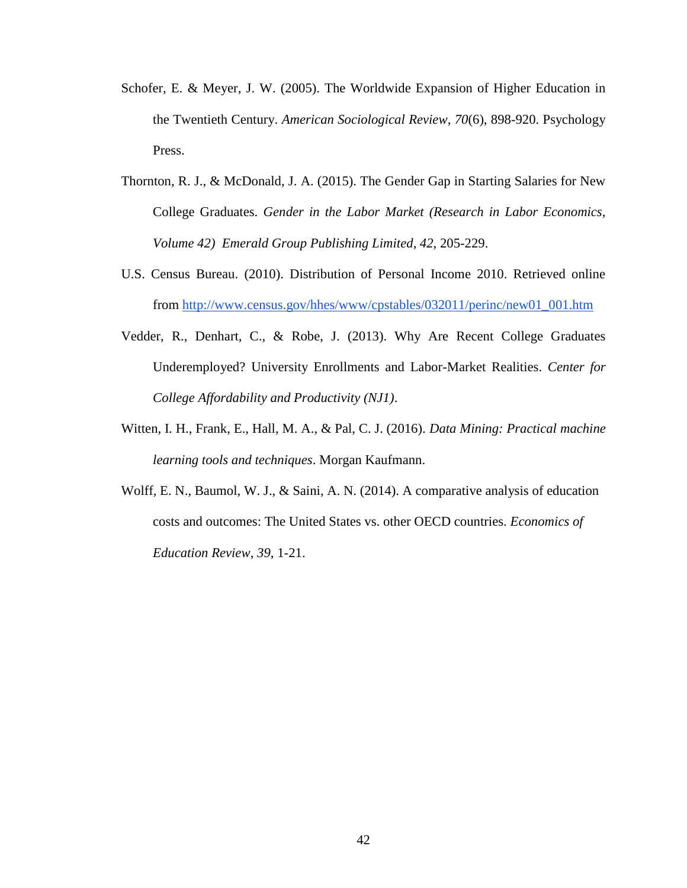- Schofer, E. & Meyer, J. W. (2005). The Worldwide Expansion of Higher Education in the Twentieth Century. *American Sociological Review*, *70*(6), 898-920. Psychology Press.
- Thornton, R. J., & McDonald, J. A. (2015). The Gender Gap in Starting Salaries for New College Graduates. *Gender in the Labor Market (Research in Labor Economics, Volume 42) Emerald Group Publishing Limited*, *42*, 205-229.
- U.S. Census Bureau. (2010). Distribution of Personal Income 2010. Retrieved online from [http://www.census.gov/hhes/www/cpstables/032011/perinc/new01\\_001.htm](http://www.census.gov/hhes/www/cpstables/032011/perinc/new01_001.htm)
- Vedder, R., Denhart, C., & Robe, J. (2013). Why Are Recent College Graduates Underemployed? University Enrollments and Labor-Market Realities. *Center for College Affordability and Productivity (NJ1)*.
- Witten, I. H., Frank, E., Hall, M. A., & Pal, C. J. (2016). *Data Mining: Practical machine learning tools and techniques*. Morgan Kaufmann.
- Wolff, E. N., Baumol, W. J., & Saini, A. N. (2014). A comparative analysis of education costs and outcomes: The United States vs. other OECD countries. *Economics of Education Review*, *39*, 1-21.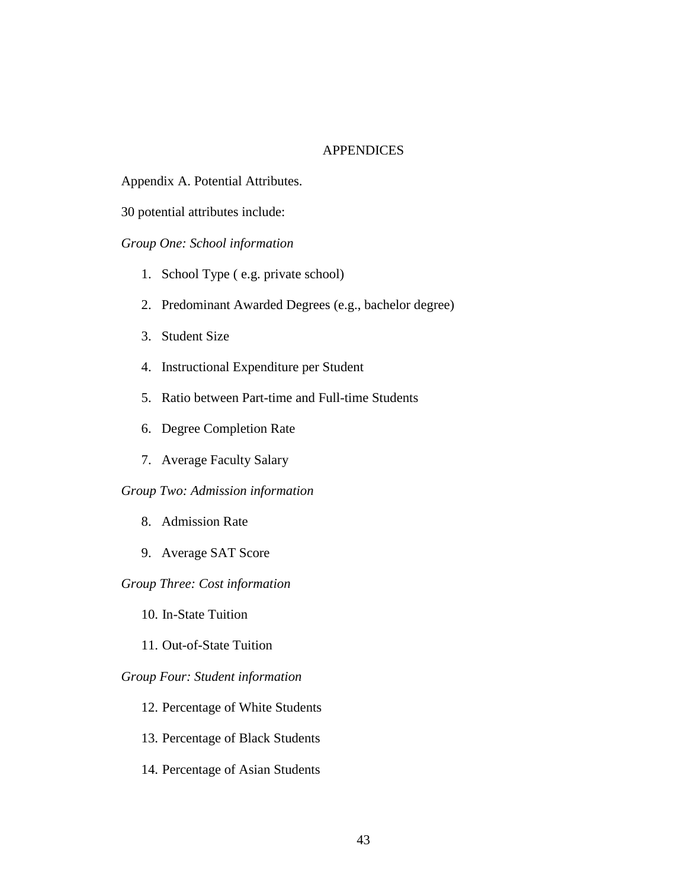### **APPENDICES**

Appendix A. Potential Attributes.

30 potential attributes include:

*Group One: School information*

- 1. School Type ( e.g. private school)
- 2. Predominant Awarded Degrees (e.g., bachelor degree)
- 3. Student Size
- 4. Instructional Expenditure per Student
- 5. Ratio between Part-time and Full-time Students
- 6. Degree Completion Rate
- 7. Average Faculty Salary

### *Group Two: Admission information*

- 8. Admission Rate
- 9. Average SAT Score

### *Group Three: Cost information*

- 10. In-State Tuition
- 11. Out-of-State Tuition

### *Group Four: Student information*

- 12. Percentage of White Students
- 13. Percentage of Black Students
- 14. Percentage of Asian Students